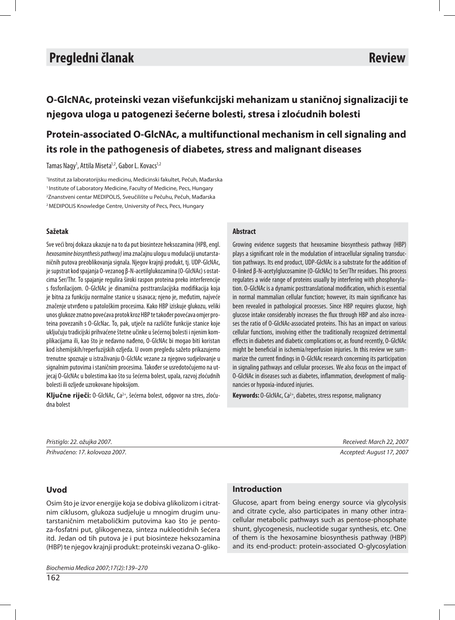# **Izvorni znanstveni članak Original scientifi c article Pregledni članak Review**

**O-GlcNAc, proteinski vezan višefunkcijski mehanizam u staničnoj signalizaciji te nje go va ulo ga u pa to ge ne zi še ćer ne bo les ti, stre sa i zlo ćud nih bo les ti**

## Protein-associated O-GlcNAc, a multifunctional mechanism in cell signaling and its role in the pathogenesis of diabetes, stress and malignant diseases

Tamas Nagy<sup>1</sup>, Attila Miseta<sup>1,2</sup>, Gabor L. Kovacs<sup>1,2</sup>

<sup>1</sup>Institut za laboratorijsku medicinu, Medicinski fakultet, Pečuh, Mađarska <sup>1</sup> Institute of Laboratory Medicine, Faculty of Medicine, Pecs, Hungary <sup>2</sup>Znanstveni centar MEDIPOLIS, Sveučilište u Pečuhu, Pečuh, Mađarska <sup>2</sup> MEDIPOLIS Knowledge Centre, University of Pecs, Pecs, Hungary

### **Sa že tak**

Sve veći broj dokaza ukazuje na to da put biosinteze heksozamina (HPB, engl. hexosamine biosynthesis pathway) ima značajnu uloqu u modulaciji unutarstaničnih putova preoblikovanja signala. Njegov krajnji produkt, tj. UDP-GlcNAc, je supstrat kod spajanja O-vezanog β-N-acetilglukozamina (O-GlcNAc) s ostatcima Ser/Thr. To spajanje regulira široki raspon proteina preko interferencije s fosforilacijom. O-GlcNAc je dinamična posttranslacijska modifikacija koja je bitna za funkciju normalne stanice u sisavaca; njeno je, međutim, najveće značenje utvrđeno u patološkim procesima. Kako HBP iziskuje glukozu, veliki unos glukoze znatno povećava protok kroz HBP te također povećava omjer proteina povezanih s O-GlcNac. To, pak, utječe na različite funkcije stanice koje uključuju tradicijski prihvaćene štetne učinke u šećernoj bolesti i njenim komplikacijama ili, kao što je nedavno nađeno, O-GlcNAc bi mogao biti koristan kod ishemijskih/reperfuzijskih ozljeda. U ovom pregledu sažeto prikazujemo trenutne spoznaje u istraživanju O-GlcNAc vezane za njegovo sudjelovanje u signalnim putovima i staničnim procesima. Također se usredotočujemo na utjecaj O-GlcNAc u bolestima kao što su šećerna bolest, upala, razvoj zloćudnih bolesti ili ozljede uzrokovane hipoksijom.

**Ključne riječi:** O-GlcNAc, Ca<sup>2+</sup>, šećerna bolest, odgovor na stres, zloćudna bolest

### **Abstract**

Growing evidence suggests that hexosamine biosynthesis pathway (HBP) plays a significant role in the modulation of intracellular signaling transduction pathways. Its end product, UDP-GIcNAc is a substrate for the addition of O-linked β-N-acetylglucosamine (O-GlcNAc) to Ser/Thr residues. This process regulates a wide range of proteins usually by interfering with phosphorylation. O-GIcNAc is a dynamic posttranslational modification, which is essential in normal mammalian cellular function; however, its main significance has been revealed in pathological processes. Since HBP requires glucose, high glucose intake considerably increases the flux through HBP and also increases the ratio of O-GIcNA c-associated proteins. This has an impact on various cellular functions, involving either the traditionally recognized detrimental effects in diabetes and diabetic complications or, as found recently, O-GlcNAc might be beneficial in ischemia/reperfusion injuries. In this review we summarize the current findings in 0-GlcNAc research concerning its participation in signaling pathways and cellular processes. We also focus on the impact of O-GlcNAc in diseases such as diabetes, inflammation, development of malignancies or hypoxia-induced injuries.

**Keywords:** O-GlcNAc, Ca<sup>2+</sup>, diabetes, stress response, malignancy

Pris tig lo: 22. ožujka 2007. Received: March 22, 2007

Prihvaćeno: 17. kolovoza 2007. https://www.facebook.com/en/cep/edited: August 17, 2007.

## **Uvod**

Osim što je izvor energije koja se dobiva glikolizom i citratnim ciklusom, glukoza sudjeluje u mnogim drugim unutar staničnim metaboličkim putovima kao što je pentoza-fosfatni put, gliko geneza, sinteza nukleotidnih šećera itd. Jedan od tih putova je i put biosinteze heksozamina (HBP) te njegov krajnji produkt: proteinski vezana O-gliko-

Biochemia Medica 2007;17(2):139–270

## **In tro duc tion**

Glucose, apart from being energy source via glycolysis and citrate cycle, also participates in many other intracellular metabolic pathways such as pentose-phosphate shunt, glycogenesis, nucleotide sugar synthesis, etc. One of them is the hexosamine biosynthesis pathway (HBP) and its end-product: protein-associated O-glycosylation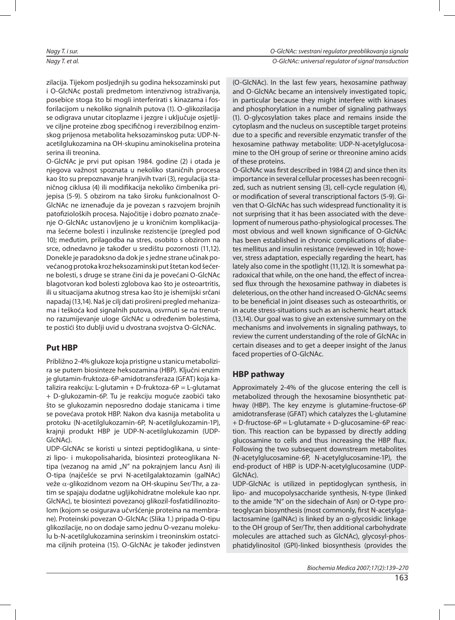zilacija. Tijekom posljednjih su godina heksozaminski put i O-GlcNAc postali predmetom intenzivnog istraživanja, posebice stoga što bi mogli interferirati s kinazama i fosforilacijom u nekoliko signalnih putova (1). O-glikozilacija se odigrava unutar citoplazme i jezgre i uključuje osjetljive ciljne proteine zbog specifičnog i reverzibilnog enzimskog prijenosa metabolita hek sozaminskog puta: UDP-Nacetil glu kozamina na OH-sku pinu amino ki selina proteina serina ili treonina.

O-GlcNAc je prvi put opisan 1984. godine (2) i otada je njegova važnost spoznata u nekoliko staničnih procesa kao što su prepoznavanje hranjivih tvari (3), regulacija staničnog ciklusa (4) ili modifikacija nekoliko čimbenika prijepisa (5-9). S obzirom na tako široku funkcionalnost O-GlcNAc ne iznenađuje da je povezan s razvojem brojnih patofizioloških procesa. Najočitije i dobro poznato značenje O-GlcNAc ustanovljeno je u kroničnim komplikacijama šećerne bolesti i inzulinske rezistencije (pregled pod 10); međutim, prilagodba na stres, osobito s obzirom na srce, odnedavno je također u središtu pozornosti (11,12). Donekle je paradoksno da dok je s jedne strane učinak povećanog protoka kroz hek sozaminski put štetan kod šećerne bolesti, s druge se strane čini da je povećani O-GlcNAc blagot voran kod bolesti zglobova kao što je osteoar tritis, ili u situacijama akutnog stresa kao što je ishemijski srčani na padaj (13,14). Naš je cilj dati prošireni pregled me hanizama i teškoća kod signalnih putova, osvrnuti se na trenutno razumijevanje uloge GlcNAc u određenim bolestima, te postići što dublji uvid u dvostrana svojstva O-GlcNAc.

## **Put HBP**

Približno 2-4% glukoze koja pristigne u stanicu metabolizira se putem biosinteze heksozamina (HBP). Ključni enzim je glutamin-fruktoza-6P-amidotransferaza (GFAT) koja katalizira reakciju: L-glutamin + D-fruktoza-6P = L-glutamat + D-glukozamin-6P. Tu je reakciju moguće zaobići tako što se glukozamin neposredno dodaje stanicama i time se povećava protok HBP. Nakon dva kasnija metabolita u protoku (N-acetilglukozamin-6P, N-acetilglukozamin-1P), krajnji produkt HBP je UDP-N-acetilglukozamin (UDP-GlcNAc).

UDP-GlcNAc se koristi u sintezi peptidoglikana, u sintezi lipo- i mukopolisaharida, biosintezi proteoglikana Ntipa (vezanog na amid "N" na pokrajnjem lancu Asn) ili O-tipa (najčešće se prvi N-acetilgalaktozamin (galNAc) veže  $α$ -glikozidnom vezom na OH-skupinu Ser/Thr, a zatim se spajaju dodatne ugljikohidratne molekule kao npr. GlcNAc), te biosintezi povezanoj glikozil-fosfatidilinozitolom (kojom se osigurava učvršćenje proteina na membrane). Proteinski povezan O-GlcNAc (Slika 1.) pripada O-tipu glikozilacije, no on dodaje samo jednu O-vezanu molekulu b-N-acetilglukozamina serinskim i treoninskim ostatcima ciljnih proteina (15). O-GlcNAc je također jedinstven

(O-GlcNAc). In the last few years, hexosamine pathway and O-GlcNAc became an intensively investigated topic, in particular because they might interfere with kinases and phosphorylation in a number of signaling pathways (1). O-glycosylation takes place and remains inside the cytoplasm and the nucleus on susceptible target proteins due to a specific and reversible enzymatic transfer of the hexosamine pathway metabolite: UDP-N-acetylglucosamine to the OH group of serine or threonine amino acids of these proteins.

O-GlcNAc was first described in 1984 (2) and since then its importance in several cellular processes has been recognized, such as nutrient sensing (3), cell-cycle regulation (4), or modification of several transcriptional factors (5-9). Given that O-GlcNAc has such widespread functionality it is not surprising that it has been associated with the development of numerous patho-physiological processes. The most obvious and well known significance of O-GlcNAc has been established in chronic complications of diabetes mellitus and insulin resistance (reviewed in 10); however, stress adaptation, especially regarding the heart, has lately also come in the spotlight (11,12). It is somewhat paradoxical that while, on the one hand, the effect of increased flux through the hexosamine pathway in diabetes is deleterious, on the other hand increased O-GlcNAc seems to be beneficial in joint diseases such as osteoarthritis, or in acute stress-situations such as an ischemic heart attack (13,14). Our goal was to give an extensive summary on the mechanisms and involvements in signaling pathways, to review the current understanding of the role of GlcNAc in certain diseases and to get a deeper insight of the Janus faced properties of O-GlcNAc.

## **HBP** pathway

Approximately 2-4% of the glucose entering the cell is metabolized through the hexosamine biosynthetic pathway (HBP). The key enzyme is glutamine-fructose-6P amidotransferase (GFAT) which catalyzes the L-glutamine + D-fructose-6P = L-glutamate + D-glucosamine-6P reaction. This reaction can be bypassed by directly adding glu cosamine to cells and thus increasing the HBP flux. Following the two subsequent downstream metabolites (N-acetylglucosamine-6P, N-acetylglucosamine-1P), the end-product of HBP is UDP-N-acetylglucosamine (UDP-GlcNAc).

UDP-GlcNAc is utilized in peptidoglycan synthesis, in lipo- and mucopolysaccharide synthesis, N-type (linked) to the amide "N" on the sidechain of Asn) or O-type proteoglycan biosynthesis (most commonly, first N-acetylgalactosamine (galNAc) is linked by an α-glycosidic linkage to the OH group of Ser/Thr, then additional carbohydrate molecules are attached such as GlcNAc), glycosyl-phosphatidylinositol (GPI)-linked biosynthesis (provides the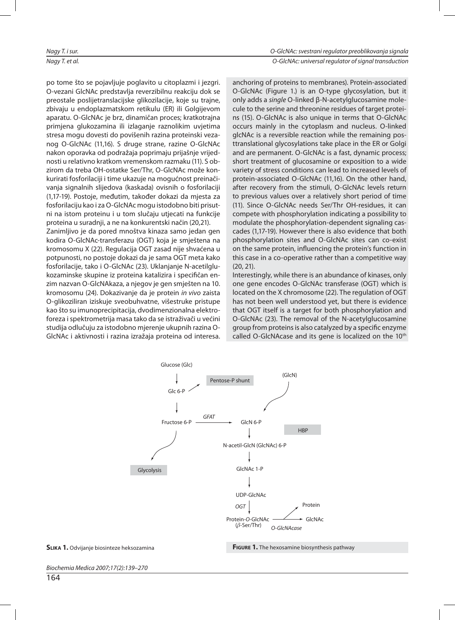po tome što se pojavljuje poglavito u citoplazmi i jezgri. O-vezani GlcNAc predstavlja reverzibilnu reakciju dok se preostale poslijetranslacijske glikozilacije, koje su trajne, zbivaju u endoplazmatskom retikulu (ER) ili Golgijevom aparatu. O-GlcNAc je brz, dinamičan proces; kratkotrajna primjena glukozamina ili izlaganje raznolikim uvjetima stresa mogu dovesti do povišenih razina proteinski vezanog O-GlcNAc (11,16). S druge strane, razine O-GlcNAc nakon oporavka od podražaja poprimaju prijašnje vrijednosti u relativno kratkom vremenskom razmaku (11). S obzirom da treba OH-ostatke Ser/Thr, O-GlcNAc može konkurirati fosforilaciji i time ukazuje na mogućnost preinačivanja signalnih slijedova (kaskada) ovisnih o fosforilaciji (1,17-19). Postoje, međutim, također dokazi da mjesta za fosforilaciju kao i za O-GlcNAc mogu istodobno biti prisutni na istom proteinu i u tom slučaju utjecati na funkcije proteina u suradnji, a ne na konkurentski način (20,21). Zanimljivo je da pored mnoštva kinaza samo jedan gen kodira O-GlcNAc-transferazu (OGT) koja je smještena na kromosomu X (22). Regulacija OGT zasad nije shvaćena u pot punosti, no postoje dokazi da je sama OGT meta kako fosforilacije, tako i O-GlcNAc (23). Uklanjanje N-acetilglukozaminske skupine iz proteina katalizira i specifičan enzim nazvan O-GlcNA kaza, a njegov je gen smješten na 10. kromosomu (24). Dokazivanje da je protein in vivo zaista O-glikoziliran iziskuje sveobuhvatne, višestruke pristupe kao što su imunoprecipitacija, dvodimenzionalna elektroforeza i spektrometrija masa tako da se istraživači u većini studija odlučuju za istodobno mjerenje ukupnih razina O-

GlcNAc i aktivnosti i razina izražaja proteina od interesa.

an choring of proteins to membranes). Protein-associated O-GlcNAc (Figure 1.) is an O-type glycosylation, but it only adds a *single* O-linked β-N-acetylglucosamine molecule to the serine and threonine residues of target proteins (15). O-GlcNAc is also unique in terms that O-GlcNAc occurs mainly in the cytoplasm and nucleus. O-linked glcNAc is a reversible reaction while the remaining posttran slational glycosylations take place in the ER or Golgi and are permanent. O-GlcNAc is a fast, dynamic process; short treatment of glucosamine or exposition to a wide variety of stress conditions can lead to increased levels of protein-associated O-GlcNAc (11,16). On the other hand, after recovery from the stimuli, O-GlcNAc levels return to previous values over a relatively short period of time (11). Since O-GlcNAc needs Ser/Thr OH-residues, it can compete with phosphorylation indicating a possibility to modulate the phosphorylation-dependent signaling cascades (1,17-19). However there is also evidence that both phosphorylation sites and O-GlcNAc sites can co-exist on the same protein, influencing the protein's function in this case in a co-operative rather than a competitive way (20, 21).

Interestingly, while there is an abundance of kinases, only one gene encodes O-GlcNAc transferase (OGT) which is located on the X chromosome (22). The regulation of OGT has not been well understood yet, but there is evidence that OGT itself is a target for both phosphorylation and O-GlcNAc (23). The removal of the N-acetylglucosamine group from proteins is also catalyzed by a specific enzyme called O-GlcNA case and its gene is localized on the 10<sup>th</sup>



**SLIKA 1.** Odvijanje biosinteze heksozamina **FIGURE 1.** The hexosamine biosynthesis pathway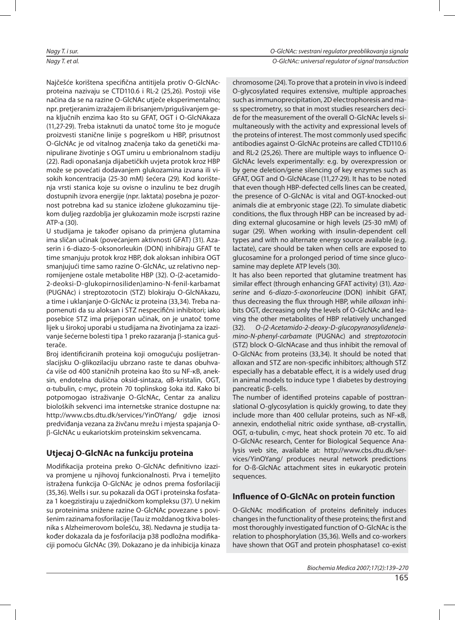Najčešće korištena specifična antitijela protiv O-GlcNAcproteina nazivaju se CTD110.6 i RL-2 (25,26). Postoji više načina da se na razine O-GlcNAc utieče eksperimentalno; npr. pretjeranim izražajem ili brisanjem/prigušivanjem gena ključnih enzima kao što su GFAT, OGT i O-GlcNA kaza (11,27-29). Treba istaknuti da unatoč tome što je moguće proizvesti stanične linije s pogreškom u HBP, prisutnost O-GlcNAc je od vitalnog značenja tako da genetički mani pulirane živo tinje s OGT umiru u embrio nalnom stadiju (22). Radi oponašanja dijabetičkih uvjeta protok kroz HBP može se povećati dodavanjem glukozamina izvana ili visokih koncentracija (25-30 mM) šećera (29). Kod korištenja vrsti stanica koje su ovisne o inzulinu te bez drugih dostupnih izvora energije (npr. laktata) posebna je pozornost potrebna kad su stanice izložene glukozaminu tijekom duljeg razdoblja jer glukozamin može iscrpsti razine ATP-a (30).

U studijama je također opisano da primjena glutamina ima sličan učinak (povećanjem aktivnosti GFAT) (31). Azaserin i 6-diazo-5-oksonorleukin (DON) inhibiraju GFAT te time smanjuju protok kroz HBP, dok aloksan inhibira OGT smanjujući time samo razine O-GlcNAc, uz relativno nepromijenjene ostale metabolite HBP (32). O-(2-acetamido-2-deoksi-D-glukopirnosiliden) amino-N-fenil-karbamat (PUGNAc) i streptozotocin (STZ) blokiraju O-GlcNA kazu, a time i uklanjanje O-GlcNAc iz proteina (33,34). Treba napomenuti da su aloksan i STZ nespecifični inhibitori; iako posebice STZ ima prijeporan učinak, on je unatoč tome lijek u širokoj uporabi u studijama na životinjama za izazivanje šećerne bolesti tipa 1 preko razaranja β-stanica gušterače.

Broj identificiranih proteina koji omogućuju poslijetranslacijsku O-glikozilaciju ubrzano raste te danas obuhvaća vi še od 400 sta nič nih pro tei na kao što su NF-κB, aneksin, endotelna dušična oksid-sintaza, αB-kristalin, OGT, α-tubulin, c-myc, protein 70 toplinskog šoka itd. Kako bi potpomogao istraživanje O-GlcNAc, Centar za analizu bioloških sekvenci ima internetske stranice dostupne na: http://www.cbs.dtu.dk/services/YinOYang/ gdje iznosi predviđanja vezana za živčanu mrežu i mjesta spajanja Oβ-GlcNAc u eukariotskim proteinskim sekvencama.

## **Ut je caj O-GlcNAc na fun kci ju pro tei na**

Modifikacija proteina preko O-GlcNAc definitivno izaziva promjene u njihovoj funkcionalnosti. Prva i temeljito istražena funkcija O-GlcNAc je odnos prema fosforilaciji (35,36). Wells i sur. su pokazali da OGT i proteinska fosfataza 1 koegzistiraju u zajedničkom kompleksu (37). U nekim su proteinima snižene razine O-GlcNAc povezane s povišenim razinama fosforilacije (Tau iz moždanog tkiva bolesnika s Alzheimerovom bolešću, 38). Nedavna je studija također dokazala da je fosforilacija p38 podložna modifikaciji pomoću GlcNAc (39). Dokazano je da inhibicija kinaza

chromosome (24). To prove that a protein in vivo is indeed O-glycosylated requires extensive, multiple approaches such as immunoprecipitation, 2D electrophoresis and mass spectrometry, so that in most studies researchers decide for the measurement of the overall O-GlcNAc levels simultaneously with the activity and expressional levels of the proteins of interest. The most commonly used specific antibodies against O-GlcNAc proteins are called CTD110.6 and RL-2 (25,26). There are multiple ways to influence O-GICNAC levels experimentally: e.g. by overexpression or by gene deletion/gene silencing of key enzymes such as GFAT, OGT and O-GlcNA case (11,27-29). It has to be noted that even though HBP-defected cells lines can be created, the presence of O-GlcNAc is vital and OGT-knocked-out animals die at embryonic stage (22). To simulate diabetic conditions, the flux through HBP can be increased by adding external glucosamine or high levels (25-30 mM) of sugar (29). When working with insulin-dependent cell types and with no alternate energy source available (e.g. lactate), care should be taken when cells are exposed to glu cosamine for a prolonged period of time since glucosamine may deplete ATP levels (30).

It has also been reported that glutamine treatment has similar effect (through enhancing GFAT activity) (31). Azaserine and 6-diazo-5-oxonorleucine (DON) inhibit GFAT, thus decreasing the flux through HBP, while *alloxan* inhibits OGT, decreasing only the levels of O-GlcNAc and leaving the other metabolites of HBP relatively unchanged (32). O-(2-Acetamido-2-deoxy-D-glucopyranosylidene)amino-N-phenyl-carbamate (PUGNAc) and streptozotocin (STZ) block O-GlcNA case and thus in hibit the removal of O-GlcNAc from proteins (33,34). It should be noted that alloxan and STZ are non-specific inhibitors; although STZ especially has a debatable effect, it is a widely used drug in animal models to induce type 1 diabetes by destroying pan creatic β-cells.

The number of identified proteins capable of posttranslational O-glycosylation is quickly growing, to date they include more than 400 cellular proteins, such as NF-κB, annexin, endothelial nitric oxide synthase, αB-crystallin, OGT, α-tubulin, c-myc, heat shock protein 70 etc. To aid O-GlcNAc research, Center for Biological Sequence Analysis web site, available at: http://www.cbs.dtu.dk/services/YinOYang/ produces neural network predictions for O-ß-GlcNAc attachment sites in eukaryotic protein sequences.

## **Influence of O-GlcNAc on protein function**

O-GlcNAc modification of proteins definitely induces changes in the functionality of these proteins; the first and most thoroughly investigated function of O-GlcNAc is the relation to phosphorylation (35,36). Wells and co-workers have shown that OGT and protein phosphatase1 co-exist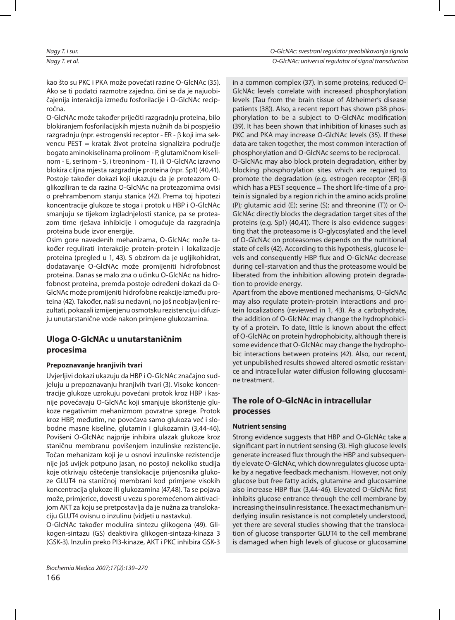kao što su PKC i PKA može povećati razine O-GlcNAc (35). Ako se ti podatci razmotre zajedno, čini se da je najuobičajenija interakcija između fosforilacije i O-GlcNAc recipročna.

O-GlcNAc može također priječiti razgradnju proteina, bilo blokiranjem fosforilacijskih mjesta nužnih da bi pospješio raz gradnju (npr. estro genski receptor - ER -  $\beta$  koji ima sekvencu PEST = kratak život proteina signalizira područje bogato aminokiselinama prolinom - P, glutamičnom kiselinom - E, serinom - S, i treoninom - T), ili O-GlcNAc izravno blokira ciljna mjesta razgradnje proteina (npr. Sp1) (40,41). Postoje također dokazi koji ukazuju da je proteazom Oglikoziliran te da razina O-GlcNAc na proteazomima ovisi o prehrambenom stanju stanica (42). Prema toj hipotezi koncentracije glukoze te stoga i protok u HBP i O-GlcNAc smanjuju se tijekom izgladnjelosti stanice, pa se proteazom time rješava inhibicije i omogućuje da razgradnja proteina bude izvor energije.

Osim gore navedenih mehanizama, O-GlcNAc može također regulirati interakcije protein-protein i lokalizacije proteina (pregled u 1, 43). S obzirom da je ugljiko hidrat, dodatavanje O-GlcNAc može promijeniti hidrofobnost proteina. Danas se malo zna o učinku O-GlcNAc na hidrofobnost proteina, premda postoje određeni dokazi da O-GlcNAc može promijeniti hidrofobne reakcije između proteina (42). Također, naši su nedavni, no još neobjavljeni rezultati, pokazali izmijenjenu osmotsku rezistenciju i difuziju unutarstanične vode nakon primjene glukozamina.

## **Ulo ga O-GlcNAc u unu tar sta nič nim pro ce si ma**

## **Prepoznavanje hranjivih tvari**

Uvjerljivi dokazi ukazuju da HBP i O-GlcNAc značajno sudjeluju u prepoznavanju hranjivih tvari (3). Visoke koncentracije glukoze uzrokuju povećani protok kroz HBP i kasnije povećavaju O-GlcNAc koji smanjuje iskorištenje glukoze negativnim mehanizmom povratne sprege. Protok kroz HBP, međutim, ne povećava samo glukoza već i slobodne masne kiseline, glutamin i glukozamin (3,44-46). Povišeni O-GlcNAc najprije inhibira ulazak glukoze kroz staničnu membranu povišenjem inzulinske rezistencije. Točan mehanizam koji je u osnovi inzulinske rezistencije nije još uvijek potpuno jasan, no postoji nekoliko studija koje otkrivaju oštećenje translokacije prijenosnika glukoze GLUT4 na staničnoj membrani kod primjene visokih kon centracija glukoze ili glukozamina (47,48). Ta se pojava može, primjerice, dovesti u vezu s poremećenom aktivacijom AKT za koju se pretpostavlja da je nužna za translokaciju GLUT4 ovisnu o inzulinu (vidjeti u nastavku).

O-GlcNAc također modulira sintezu glikogena (49). Glikogen-sintazu (GS) deaktivira glikogen-sintaza-kinaza 3 (GSK-3). Inzulin preko PI3-kinaze, AKT i PKC inhibira GSK-3 levels (Tau from the brain tissue of Alzheimer's disease patients (38)). Also, a recent report has shown p38 phosphorylation to be a subject to O-GlcNAc modification (39). It has been shown that inhibition of kinases such as PKC and PKA may increase O-GlcNAc levels (35). If these data are taken together, the most common interaction of phosphorylation and O-GlcNAc seems to be reciprocal. O-GlcNAc may also block protein degradation, either by blocking phosphorylation sites which are required to promote the degradation (e.g. estrogen receptor (ER)- $β$ which has a PEST sequence  $=$  The short life-time of a protein is signaled by a region rich in the amino acids proline (P); glutamic acid (E); serine (S); and threonine (T)) or O-GIcNAc directly blocks the degradation target sites of the proteins (e.g. Sp1) (40,41). There is also evidence suggesting that the proteasome is O-glycosylated and the level of O-GlcNAc on proteasomes depends on the nutritional

in a common complex (37). In some proteins, reduced O-GIcNAc levels correlate with increased phosphorylation

state of cells (42). According to this hypothesis, glucose levels and consequently HBP flux and O-GIcNAc decrease during cell-starvation and thus the proteasome would be liberated from the inhibition allowing protein degradation to provide energy.

Apart from the above mentioned mechanisms, O-GlcNAc may also regulate protein-protein interactions and protein localizations (reviewed in 1, 43). As a carbohydrate, the addition of O-GlcNAc may change the hydrophobicity of a protein. To date, little is known about the effect of O-GlcNAc on protein hydrophobicity, although there is some evidence that O-GlcNAc may change the hydrophobic interactions between proteins (42). Also, our recent, yet unpublished results showed altered osmotic resistance and intracellular water diffusion following glucosamine treatment.

## **The role of O-GlcNAc in intracellular pro ces ses**

## **Nutrient sensing**

Strong evidence suggests that HBP and O-GlcNAc take a significant part in nutrient sensing (3). High glucose levels generate increased flux through the HBP and subsequently elevate O-GlcNAc, which downregulates glucose uptake by a negative feedback mechanism. However, not only glucose but free fatty acids, glutamine and glucosamine also increase HBP flux (3,44-46). Elevated O-GlcNAc first inhibits glucose entrance through the cell membrane by increasing the insulin resistance. The exact mechanism underlying insulin resistance is not completely understood, yet there are several studies showing that the translocation of glucose transporter GLUT4 to the cell membrane is da maged when high levels of glucose or glucosamine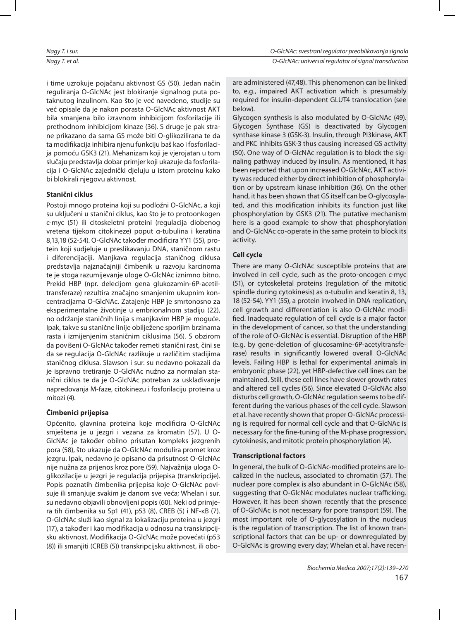i time uzrokuje pojačanu aktivnost GS (50). Jedan način reguliranja O-GlcNAc jest blokiranje signalnog puta potaknutog inzulinom. Kao što je već navedeno, studije su već opisale da je nakon porasta O-GlcNAc aktivnost AKT bila smanjena bilo izravnom inhibicijom fosforilacije ili prethodnom inhibicijom kinaze (36). S druge je pak strane prikazano da sama GS može biti O-glikozilirana te da ta modifikacija inhibira njenu funkciju baš kao i fosforilacija pomoću GSK3 (21). Mehanizam koji je vjerojatan u tom slučaju predstavlja dobar primjer koji ukazuje da fosforilacija i O-GlcNAc zajednički djeluju u istom proteinu kako bi blokirali njegovu aktivnost.

## **Sta nični cik lus**

Postoji mnogo proteina koji su podložni O-GlcNAc, a koji su uključeni u stanični ciklus, kao što je to protoonkogen c-myc (51) ili citoskeletni proteini (regulacija diobenog vretena tijekom citokineze) poput α-tubulina i keratina 8,13,18 (52-54). O-GlcNAc također modificira YY1 (55), protein koji sudjeluje u preslikavanju DNA, staničnom rastu i diferencijaciji. Manjkava regulacija staničnog ciklusa pred stavlja najznačajniji čimbenik u razvoju karcinoma te je stoga razumijevanje uloge O-GlcNAc iznimno bitno. Prekid HBP (npr. delecijom gena glukozamin-6P-acetiltransferaze) rezultira značajno smanjenim ukupnim koncentracijama O-GlcNAc. Zatajenje HBP je smrtonosno za ek sperimentalne životinje u embrionalnom stadiju (22), no održanje staničnih linija s manjkavim HBP je moguće. Ipak, takve su stanične linije obilježene sporijim brzinama rasta i izmijenjenim staničnim ciklusima (56). S obzirom da povišeni O-GlcNAc također remeti stanični rast, čini se da se regulacija O-GlcNAc razlikuje u različitim stadijima staničnog ciklusa. Slawson i sur. su nedavno pokazali da je ispravno tretiranje O-GlcNAc nužno za normalan stanični ciklus te da je O-GlcNAc potreban za usklađivanje napredovanja M-faze, citokinezu i fosforilaciju proteina u mitozi (4).

## **Čim be nici pri je pi sa**

Općenito, glavnina proteina koje modificira O-GlcNAc smještena je u jezgri i vezana za kromatin (57). U O-GlcNAc je također obilno prisutan kompleks jezgrenih pora (58), što ukazuje da O-GlcNAc modulira promet kroz jez gru. Ipak, nedavno je opisano da prisutnost O-GlcNAc nije nužna za prijenos kroz pore (59). Najvažnija uloga Oglikozilacije u jezgri je regulacija prijepisa (transkripcije). Popis poznatih čimbenika prijepisa koje O-GlcNAc povisuje ili smanjuje svakim je danom sve veća; Whelan i sur. su nedavno objavili obnovljeni popis (60). Neki od primjera tih čimbenika su Sp1 (41), p53 (8), CREB (5) i NF-κB (7). O-GlcNAc služi kao signal za lokalizaciju proteina u jezgri (17), a također i kao modifikacija u odnosu na transkripcijsku aktivnost. Modifikacija O-GlcNAc može povećati (p53 (8)) ili smanjiti (CREB (5)) transkripcijsku aktivnost, ili oboare administered (47,48). This phenomenon can be linked to, e.g., impaired AKT activation which is presumably required for insulin-dependent GLUT4 translocation (see below).

Glycogen synthesis is also modulated by O-GlcNAc (49). Glycogen Synthase (GS) is deactivated by Glycogen synthase kinase 3 (GSK-3). Insulin, through PI3kinase, AKT and PKC inhibits GSK-3 thus causing increased GS activity (50). One way of O-GlcNAc regulation is to block the signaling pathway induced by insulin. As mentioned, it has been reported that upon increased O-GlcNAc, AKT activity was reduced either by direct inhibition of phosphorylation or by upstream kinase inhibition (36). On the other hand, it has been shown that GS itself can be O-glycosylated, and this modification inhibits its function just like phosphorylation by GSK3 (21). The putative mechanism here is a good example to show that phosphorylation and O-GlcNAc co-operate in the same protein to block its activity.

## **Ce ll cycle**

There are many O-GIcNAc susceptible proteins that are involved in cell cycle, such as the proto-oncogen c-myc (51), or cytos keletal proteins (regulation of the mitotic spindle during cytokinesis) as  $\alpha$ -tubulin and keratin 8, 13, 18 (52-54). YY1 (55), a protein involved in DNA replication, cell growth and differentiation is also O-GlcNAc modified. Inadequate regulation of cell cycle is a major factor in the development of cancer, so that the understanding of the role of O-GlcNAc is essential. Disruption of the HBP (e.g. by gene-deletion of glucosamine-6P-acetyltransferase) results in significantly lowered overall O-GlcNAc levels. Failing HBP is lethal for experimental animals in embryonic phase (22), yet HBP-defective cell lines can be maintained. Still, these cell lines have slower growth rates and altered cell cycles (56). Since elevated O-GlcNAc also disturbs cell growth, O-GlcNAc regulation seems to be different during the various phases of the cell cycle. Slawson et al. have recently shown that proper O-GlcNAc processing is required for normal cell cycle and that O-GlcNAc is necessary for the fine-tuning of the M-phase progression, cytokinesis, and mitotic protein phosphorylation (4).

## **Transcriptional factors**

In general, the bulk of O-GlcNAc-modified proteins are localized in the nucleus, associated to chromatin (57). The nuclear pore complex is also abundant in O-GlcNAc (58), suggesting that O-GlcNAc modulates nuclear trafficking. However, it has been shown recently that the presence of O-GlcNAc is not necessary for pore transport (59). The most important role of O-glycosylation in the nucleus is the regulation of transcription. The list of known transcriptional factors that can be up- or downregulated by O-GlcNAc is growing every day; Whelan et al. have recen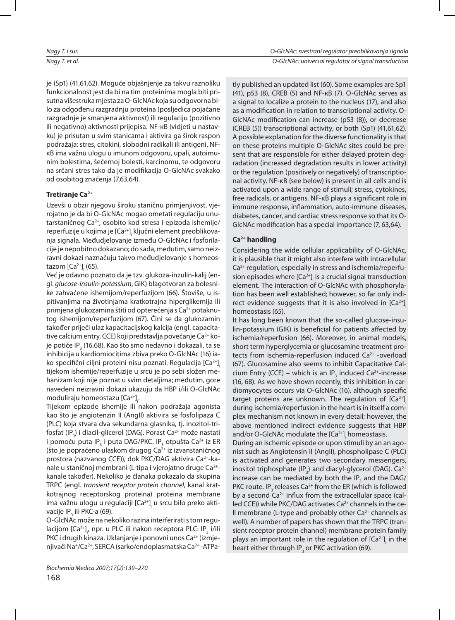je (Sp1) (41,61,62). Moguće objašnjenje za takvu raznoliku funkcionalnost jest da bi na tim proteinima mogla biti prisutna višestruka mjesta za O-GlcNAc koja su odgovorna bilo za odgođenu razgradnju proteina (posljedica pojačane razgradnje je smanjena aktivnost) ili regulaciju (pozitivno ili negativno) aktivnosti prijepisa. NF-κB (vidjeti u nastavku) je prisutan u svim stanicama i aktivira ga širok raspon podražaja: stres, citokini, slobodni radikali ili antigeni. NFκB ima važnu ulogu u imunom odgovoru, upali, autoimunim bolestima, šećernoj bolesti, karcinomu, te odgovoru na srčani stres tako da je modifikacija O-GlcNAc svakako od osobitog značenja (7,63,64).

## Tretiranje Ca<sup>2+</sup>

Uzevši u obzir njegovu široku staničnu primjenjivost, vjerojatno je da bi O-GlcNAc mogao ometati regulaciju unutar staničnog Ca<sup>2+</sup>, osobito kod stresa i epizoda ishemije/ reperfuzije u kojima je [Ca<sup>2+</sup>]<sub>¦</sub> ključni element preoblikovanja signala. Međud je lovanje iz među O-GlcNAc i fosforilacije je nepobitno dokazano; do sada, međutim, samo neizravni dokazi naznačuju takvo međudjelovanje s homeostazom [Ca $^{2+}$ ]<sub>i</sub> (65).

Već je odavno poznato da je tzv. glukoza-inzulin-kalij (engl. glucose-insulin-potassium, GIK) blagotvoran za bolesnike zahvaćene ishemijom/reperfuzijom (66). Štoviše, u ispitivanjima na životinjama kratkotrajna hiperglikemija ili primjena glukozamina štiti od opterećenja s Ca<sup>2+</sup> potaknutog ishemijom/reperfuzijom (67). Čini se da glukozamin također priječi ulaz kapacitacijskog kalcija (engl. capacitative calcium entry, CCE) koji predstavlja povećanje Ca<sup>2+</sup> koje potiče IP<sub>3</sub> (16,68). Kao što smo nedavno i dokazali, ta se inhibicija u kardiomiocitima zbiva preko O-GlcNAc (16) iako specifični ciljni proteini nisu poznati. Regulacija [Ca<sup>2+</sup>]<sub>i</sub> tijekom ishemije/reperfuzije u srcu je po sebi složen mehanizam koji nije poznat u svim detaljima; međutim, gore navedeni neizravni dokazi ukazuju da HBP i/ili O-GlcNAc moduliraju homeostazu [Ca<sup>2+</sup>]<sub>¦</sub>.

Tijekom epizode ishemije ili nakon podražaja agonista kao što je angiotenzin II (AngII) aktivira se fosfolipaza C (PLC) koja stvara dva sekundarna glasnika, tj. inozitol-trifosfat (IP<sub>3</sub>) i diacil-glicerol (DAG). Porast Ca<sup>2+</sup> može nastati i pomoću puta IP<sub>3</sub> i puta DAG/PKC. IP<sub>3</sub> otpušta Ca<sup>2+</sup> iz ER (što je popraćeno ulaskom drugog Ca $2+$  iz izvanstaničnog prostora (nazvanog CCE)), dok PKC/DAG aktivira Ca<sup>2+</sup>-kanale u staničnoj membrani (L-tipa i vjerojatno druge Ca<sup>2+</sup>kanale također). Nekoliko je članaka pokazalo da skupina TRPC (engl. transient receptor protein channel, kanal kratkotrajnog receptorskog proteina) proteina membrane ima važnu ulogu u regulaciji [Ca<sup>2+</sup>]<sub>;</sub> u srcu bilo preko aktivacije IP<sub>3</sub> ili PKC-a (69).

O-GlcNAc može na nekoliko razina interferirati s tom regulacijom [Ca<sup>2+</sup>]<sub><sub>i</sub>, npr. u PLC ili nakon receptora PLC: IP<sub>3</sub> i/ili</sub> PKC i drugih kinaza. Uklanjanje i ponovni unos Ca<sup>2+</sup> (izmjenjivači Na+/Ca<sup>2+</sup>, SERCA (sarko/endoplasmatska Ca<sup>2+</sup> -ATPatly published an updated list (60). Some examples are Sp1 (41), p53 (8), CREB (5) and NF-κB (7). O-GlcNAc ser ves as a signal to localize a protein to the nucleus (17), and also as a modification in relation to transcriptional activity. O-GlcNAc modification can increase (p53 (8)), or decrease (CREB (5)) transcriptional activity, or both (Sp1) (41,61,62). A possible explanation for the diverse functionality is that on these proteins multiple O-GlcNAc sites could be present that are responsible for either delayed protein degradation (increased degradation results in lower activity) or the regulation (positively or negatively) of transcriptional activity. NF-κB (see below) is present in all cells and is activated upon a wide range of stimuli; stress, cytokines, free radicals, or antigens. NF-KB plays a significant role in immune response, inflammation, auto-immune diseases, diabetes, cancer, and cardiac stress response so that its O-GlcNAc modification has a special importance (7, 63,64).

## Ca<sup>2+</sup> handling

Considering the wide cellular applicability of O-GlcNAc, it is plausible that it might also interfere with intracellular  $Ca<sup>2+</sup>$  regulation, especially in stress and is chemia/reperfusion episodes where [Ca<sup>2+</sup>]<sub>;</sub> is a crucial signal transduction element. The interaction of O-GlcNAc with phosphorylation has been well established; however, so far only indirect evidence suggests that it is also involved in [Ca $^{2+}$ ]. homeostasis (65).

It has long been known that the so-called glucose-insulin-potassium (GIK) is beneficial for patients affected by ischemia/reperfusion (66). Moreover, in animal models, short term hyperglycemia or glucosamine treatment protects from ischemia-reperfusion induced Ca<sup>2+</sup> -overload (67). Glucosamine also seems to inhibit Capacitative Calcium Entry (CCE) – which is an IP<sub>3</sub> induced Ca<sup>2+</sup>-increase (16, 68). As we have shown recently, this inhibition in cardio myo cytes occurs via O-GlcNAc (16), although specific target proteins are unknown. The regulation of [Ca<sup>2+</sup>]<sub>i</sub> during ischemia/reperfusion in the heart is in itself a complex mechanism not known in every detail; however, the above mentioned indirect evidence suggests that HBP and/or O-GlcNAc modulate the [Ca<sup>2+]</sup>¦ homeostasis.

During an ischemic episode or upon stimuli by an an agonist such as Angiotensin II (AngII), phospholipase C (PLC) is activated and generates two secondary messengers, inositol triphosphate (IP<sub>3</sub>) and diacyl-glycerol (DAG). Ca<sup>2+</sup> increase can be mediated by both the IP<sub>3</sub> and the DAG/ PKC route. IP<sub>3</sub> releases Ca<sup>2+</sup> from the ER (which is followed by a second  $Ca^{2+}$  influx from the extracellular space (called CCE)) while PKC/DAG activates Ca<sup>2+</sup> channels in the ce-Il membrane (L-type and probably other  $Ca<sup>2+</sup>$  channels as well). A number of papers has shown that the TRPC (transient receptor protein channel) membrane protein family plays an important role in the regulation of  $\left[{\sf Ca}^{2+}\right]_i$  in the heart either through IP $\rm _{_{3}}$  or PKC activation (69).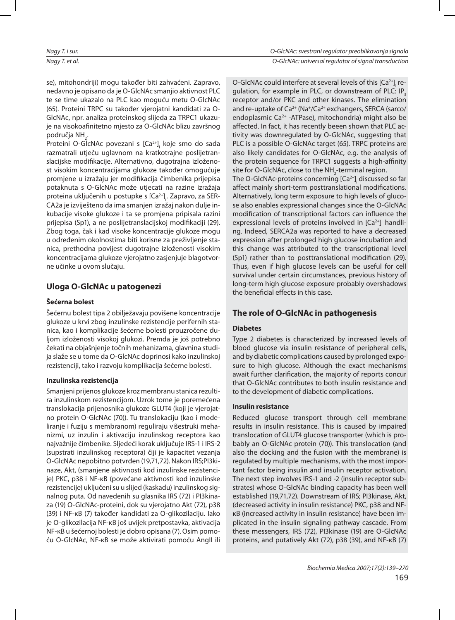se), mitohondriji) mogu također biti zahvaćeni. Zapravo, ne davno je opisano da je O-GlcNAc smanjio aktivnost PLC te se time ukazalo na PLC kao moguću metu O-GlcNAc (65). Proteini TRPC su također vjerojatni kandidati za O-GlcNAc, npr. analiza proteinskog slijeda za TRPC1 ukazuje na visokoafinitetno mjesto za O-GlcNAc blizu završnog područja NH<sub>2</sub>.

Proteini O-GlcNAc povezani s [Ca<sup>2+</sup>]<sub>i</sub> koje smo do sada razmatrali utječu uglavnom na kratkotrajne poslijetranslacijske modifikacije. Alternativno, dugotrajna izloženost visokim koncentracijama glukoze također omogućuje promjene u izražaju jer modifikacija čimbenika prijepisa potaknuta s O-GlcNAc može utjecati na razine izražaja proteina uključenih u postupke s [Ca<sup>2+</sup>]<sub>;</sub>. Zapravo, za SER-CA2a je izviješteno da ima smanjen izražaj nakon dulje inkubacije visoke glukoze i ta se promjena pripisala razini prijepisa (Sp1), a ne poslijetranslacijskoj modifikaciji (29). Zbog toga, čak i kad visoke koncentracije glukoze mogu u određenim okolnostima biti korisne za preživljenje stanica, prethodna povijest dugotrajne izloženosti visokim kon centra cijama glukoze vjerojatno zasjenjuje blagotvorne učinke u ovom slučaju.

## **Uloga O-GlcNAc u patogenezi**

## **Še ćer na bo le st**

Šećernu bolest tipa 2 obilježavaju povišene koncentracije glukoze u krvi zbog inzulinske rezistencije perifernih stanica, kao i komplikacije šećerne bolesti prouzročene duljom izloženosti visokoj glukozi. Premda je još potrebno čekati na objašnjenje točnih mehanizama, glavnina studija slaže se u tome da O-GlcNAc doprinosi kako inzulinskoj rezistenciji, tako i razvoju komplikacija šećerne bolesti.

## **In zu lin ska re zis ten ci ja**

Smanjeni prijenos glukoze kroz membranu stanica rezultira inzulinskom rezistencijom. Uzrok tome je poremećena translokacija prijenosnika glukoze GLUT4 (koji je vjerojatno protein O-GlcNAc (70)). Tu translokaciju (kao i modeliranje i fuziju s membranom) reguliraju višestruki mehanizmi, uz inzulin i aktivaciju inzulinskog receptora kao najvažnije čimbenike. Sljedeći korak uključuje IRS-1 i IRS-2 (supstrati inzulinskog receptora) čiji je kapacitet vezanja O-GlcNAc nepobitno potvrđen (19,71,72). Nakon IRS;PI3kinaze, Akt, (smanjene aktivnosti kod inzulinske rezistencije) PKC, p38 i NF-κB (povećane aktivnosti kod inzulinske rezistencije) uključeni su u slijed (kaskadu) inzulinskog signalnog puta. Od navedenih su glasnika IRS (72) i PI3kinaza (19) O-GlcNAc-proteini, dok su vjerojatno Akt (72), p38 (39) i NF-κB (7) također kandidati za O-glikozilaciju. Iako je O-glikozilacija NF-κB još uvijek pretpostavka, aktivacija NF-κB u šećernoj bolesti je dobro opisana (7). Osim pomoću O-GlcNAc, NF-κB se može aktivirati pomoću AngII ili

O-GIcNAc could interfere at several levels of this [Ca $^{2+}$ ] $\rm _i$  regulation, for example in PLC, or downstream of PLC: IP $_s$ receptor and/or PKC and other kinases. The elimination and re-uptake of  $Ca^{2+}$  (Na<sup>+</sup>/Ca<sup>2+</sup> exchangers, SERCA (sarco/ endoplasmic Ca<sup>2+</sup> -ATPase), mitochondria) might also be affected. In fact, it has recently beeen shown that PLC activity was downregulated by O-GlcNAc, suggesting that PLC is a possible O-GlcNAc target (65). TRPC proteins are also likely candidates for O-GlcNAc, e.g. the analysis of the protein sequence for TRPC1 suggests a high-affinity site for O-GlcNAc, close to the NH $_{\textrm{\tiny{2}}}$ -terminal region.

The O-GlcNAc-proteins concerning [Ca<sup>2+</sup>]<sub>;</sub> discussed so far affect mainly short-term posttranslational modifications. Alternatively, long term exposure to high levels of glucose also enables expressional changes since the O-GlcNAc modification of transcriptional factors can influence the expressional levels of proteins involved in [Ca<sup>2+</sup>]<sub>;</sub> handling. Indeed, SERCA2a was reported to have a decreased expression after prolonged high glucose incubation and this change was attributed to the transcriptional level (Sp1) rather than to posttranslational modification (29). Thus, even if high glucose levels can be useful for cell survival under certain circumstances, previous history of long-term high glucose exposure probably overshadows the beneficial effects in this case.

## **The role of O-GlcNAc in pathogenesis**

## **Dia be tes**

Type 2 diabetes is characterized by increased levels of blood glucose via insulin resistance of peripheral cells, and by diabetic complications caused by prolonged exposure to high glucose. Although the exact mechanisms await further clarification, the majority of reports concur that O-GIcNAc contributes to both insulin resistance and to the development of diabetic complications.

## **In su lin re sis tan ce**

Reduced glucose transport through cell membrane results in insulin resistance. This is caused by impaired translocation of GLUT4 glucose transporter (which is probably an O-GlcNAc protein (70)). This translocation (and also the docking and the fusion with the membrane) is regulated by multiple mechanisms, with the most important factor being insulin and insulin receptor activation. The next step involves IRS-1 and -2 (insulin receptor substrates) whose O-GlcNAc binding capacity has been well established (19,71,72). Downstream of IRS; PI3kinase, Akt, (decreased activity in insulin resistance) PKC, p38 and NFκB (increased activity in insulin resistance) have been implicated in the insulin signaling pathway cascade. From these messengers, IRS (72), PI3kinase (19) are O-GlcNAc proteins, and putatively Akt (72), p38 (39), and NF-κB (7)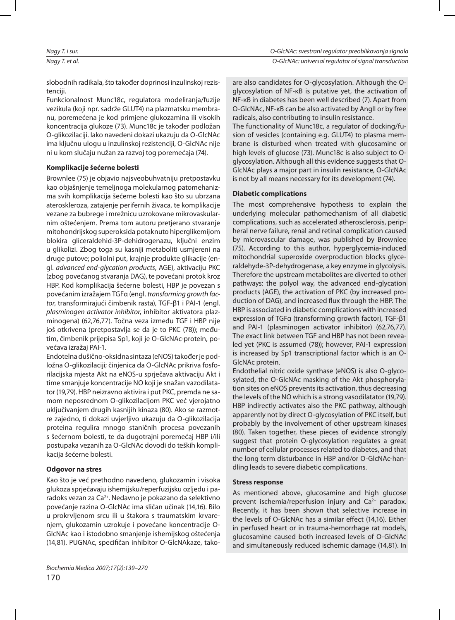slobodnih radikala, što također doprinosi inzulinskoj rezistenciii.

Funkcionalnost Munc18c, regulatora modelirania/fuzije vezikula (koji npr. sadrže GLUT4) na plazmatsku membranu, poremećena je kod primjene glukozamina ili visokih kon centracija glukoze (73). Munc18c je također podložan O-glikozilaciji. Iako navedeni dokazi ukazuju da O-GlcNAc ima ključnu ulogu u inzulinskoj rezistenciji, O-GlcNAc nije ni u kom slučaju nužan za razvoj tog poremećaja (74).

### **Kom pli ka ci je še ćerne bo les ti**

Brownlee (75) je objavio naj sveo buhvatniju pretpostavku kao objašnjenje temeljnoga molekularnog patomehanizma svih komplikacija šećerne bolesti kao što su ubrzana ateroskleroza, zatajenje perifernih živaca, te komplikacije vezane za bubrege i mrežnicu uzrokovane mikrovaskularnim oštećenjem. Prema tom autoru pretjerano stvaranje mito hon drij skog su perok sida pota knu to hi per gli ke mijom blokira gliceraldehid-3P-dehidrogenazu, ključni enzim u glikolizi. Zbog toga su kasniji metaboliti usmjereni na druge putove; poliolni put, krajnje produkte glikacije (engl. advanced end-glycation products, AGE), aktivaciju PKC (zbog povećanog stvaranja DAG), te povećani protok kroz HBP. Kod komplikacija šećerne bolesti, HBP je povezan s povećanim izražajem TGFα (engl. transforming growth factor, transformirajući čimbenik rasta), TGF-β1 i PAI-1 (engl. plasminogen activator inhibitor, inhibitor aktivatora plazminogena) (62,76,77). Točna veza između TGF i HBP nije još otkrivena (pretpostavlja se da je to PKC (78)); međutim, čimbenik prijepisa Sp1, koji je O-GlcNAc-protein, povećava izražaj PAI-1.

Endotelna dušično-oksidna sintaza (eNOS) također je podložna O-glikozilaciji; činjenica da O-GlcNAc prikriva fosforilacijska mjesta Akt na eNOS-u sprječava aktivaciju Akt i time smanjuje koncentracije NO koji je snažan vazodilatator (19,79). HBP neizravno aktivira i put PKC, premda ne samom neposrednom O-glikozilacijom PKC već vjerojatno uključivanjem drugih kasnijih kinaza (80). Ako se razmotre zajedno, ti dokazi uvjerljivo ukazuju da O-glikozilacija proteina regulira mnogo staničnih procesa povezanih s šećernom bolesti, te da dugotrajni poremećaj HBP i/ili postupaka vezanih za O-GlcNAc dovodi do teških komplikacija šećerne bolesti.

## **Odgovor na stres**

Kao što je već prethodno navedeno, glukozamin i visoka glukoza sprječavaju ishemijsku/reperfuzijsku ozljedu i paradoks vezan za Ca<sup>2+</sup>. Nedavno je pokazano da selektivno povećanje razina O-GlcNAc ima sličan učinak (14,16). Bilo u prokrvljenom srcu ili u štakora s traumatskim krvarenjem, glukozamin uzrokuje i povećane koncentracije O-GlcNAc kao i istodobno smanjenje ishemijskog oštećenja (14,81). PUGNAc, specifičan inhibitor O-GlcNAkaze, takoare also candidates for O-glycosylation. Although the Oglycosylation of NF-κB is putative yet, the activation of NF-κB in diabetes has been well described (7). Apart from O-GlcNAc, NF-κB can be also activated by AngII or by free radicals, also contributing to insulin resistance. The functionality of Munc18c, a regulator of docking/fusion of vesicles (containing e.g. GLUT4) to plasma membrane is disturbed when treated with glucosamine or

high levels of glucose (73). Munc18c is also subject to Oglycosylation. Although all this evidence suggests that O-GlcNAc plays a major part in insulin resistance, O-GlcNAc is not by all means necessary for its development (74).

### **Diabetic complications**

The most comprehensive hypothesis to explain the underlying molecular pathomechanism of all diabetic complications, such as accelerated atherosclerosis, peripheral nerve failure, renal and retinal complication caused by microvascular damage, was published by Brownlee (75). According to this author, hyperglycemia-induced mitochondrial superoxide overproduction blocks glyceral de hyde-3P-de hydrogenase, a key en zyme in glycolysis. Therefore the upstream metabolites are diverted to other pathways: the polyol way, the advanced end-glycation products (AGE), the activation of PKC (by increased production of DAG), and increased flux through the HBP. The HBP is associated in diabetic complications with increased expression of TGFα (transforming growth factor), TGF-β1 and PAI-1 (plasminogen activator inhibitor) (62,76,77). The exact link between TGF and HBP has not been revealed yet (PKC is assumed (78)); however, PAI-1 expression is increased by Sp1 transcriptional factor which is an O-GlcNAc protein.

Endothelial nitric oxide synthase (eNOS) is also O-glycosylated, the O-GlcNAc masking of the Akt phosphorylation sites on eNOS prevents its activation, thus decreasing the levels of the NO which is a strong vasodilatator (19,79). HBP indirectly activates also the PKC pathway, although apparently not by direct O-glycosylation of PKC itself, but probably by the involvement of other upstream kinases (80). Taken together, these pieces of evidence strongly suggest that protein O-glycosylation regulates a great number of cellular processes related to diabetes, and that the long term disturbance in HBP and/or O-GlcNAc-handling leads to severe diabetic complications.

## **Stress response**

As mentioned above, glucosamine and high glucose prevent is chemia/reperfusion injury and  $Ca<sup>2+</sup>$  paradox. Recently, it has been shown that selective increase in the levels of O-GlcNAc has a similar effect (14,16). Either in perfused heart or in trauma-hemorrhage rat models, glucosamine caused both increased levels of O-GlcNAc and simultaneously reduced ischemic damage (14,81). In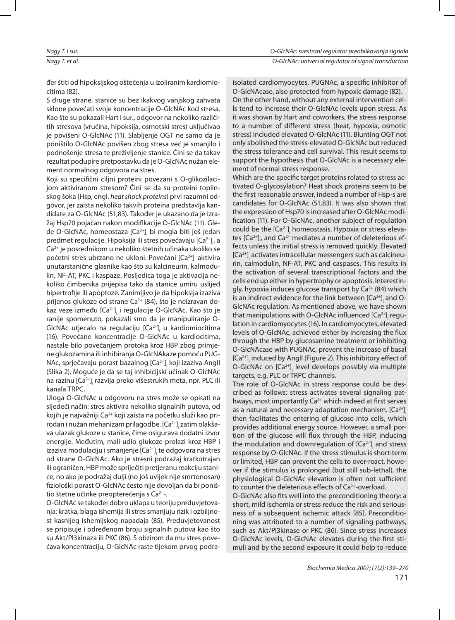| Nagy T. i sur. | O-GIcNAc: svestrani regulator preoblikovanja signala |
|----------------|------------------------------------------------------|
| Nagy T. et al. | O-GIcNAc: universal regulator of signal transduction |

đer štiti od hipoksijskog oštećenja u izoliranim kardiomiocitima (82).

S druge strane, stanice su bez ikakvog vanjskog zahvata sklone povećati svoje koncentracije O-GlcNAc kod stresa. Kao što su pokazali Hart i sur., odgovor na nekoliko različitih stresova (vrućina, hipoksija, osmotski stres) uključivao je povišeni O-GlcNAc (11). Slabljenje OGT ne samo da je poništilo O-GlcNAc povišen zbog stresa već je smanjilo i podnošenje stresa te preživljenje stanice. Čini se da takav rezultat podupire pretpostavku da je O-GlcNAc nužan element normalnog odgovora na stres.

Koji su specifični ciljni proteini povezani s O-glikozilacijom aktiviranom stresom? Čini se da su proteini toplinskog šoka (Hsp, engl. heat shock proteins) prvi razumni odgovor, jer zaista nekoliko takvih proteina predstavlja kandidate za O-GlcNAc (51,83). Također je ukazano da je izražaj Hsp70 pojačan nakon modifikacije O-GlcNAc (11). Glede O-GlcNAc, homeostaza [Ca<sup>2+</sup>]<sub>i</sub> bi mogla biti još jedan predmet regulacije. Hipoksija ili stres povećavaju [Ca<sup>2+</sup>]<sub>i</sub>, a Ca<sup>2+</sup> je posrednikom u nekoliko štetnih učinaka ukoliko se početni stres ubrzano ne ukloni. Povećani [Ca<sup>2+</sup>]<sub>i</sub> aktivira unutarstanične glasnike kao što su kalcineurin, kalmodulin, NF-AT, PKC i kaspaze. Posljedica toga je aktivacija nekoliko čimbenika prijepisa tako da stanice umiru uslijed hipertrofije ili apoptoze. Zanimljivo je da hipoksija izaziva prijenos glukoze od strane Ca<sup>2+</sup> (84), što je neizravan dokaz veze između [Ca<sup>2+</sup>]<sub>i</sub> i regulacije O-GlcNAc. Kao što je ranije spomenuto, pokazali smo da je manipuliranje O-GlcNAc utjecalo na regulaciju [Ca<sup>2+</sup>]<sub>i</sub> u kardiomiocitima (16). Povećane koncentracije O-GlcNAc u kardiocitima, nastale bilo povećanjem protoka kroz HBP zbog primjene glukozamina ili inhibiranja O-GlcNA kaze pomoću PUG-NAc, sprječavaju porast bazalnog [Ca<sup>2+</sup>]<sub>i</sub> koji izaziva AngII (Slika 2). Moguće je da se taj inhibicijski učinak O-GlcNAc na razinu [Ca<sup>2+</sup>]<sub>;</sub> razvija preko višestrukih meta, npr. PLC ili kanala TRPC.

Uloga O-GlcNAc u odgovoru na stres može se opisati na sljedeći način: stres aktivira nekoliko signalnih putova, od kojih je najvažniji Ca<sup>2+</sup> koji zaista na početku služi kao prirodan i nužan mehanizam prilagodbe. [Ca<sup>2+</sup>]<sub>¦</sub> zatim olakšava ulazak glukoze u stanice, čime osigurava dodatni izvor energije. Međutim, mali udio glukoze prolazi kroz HBP i izaziva modulaciju i smanjenje [Ca<sup>2+</sup>]<sub>;</sub> te odgovora na stres od strane O-GlcNAc. Ako je stresni podražaj kratkotrajan ili ograničen, HBP može spriječiti pretjeranu reakciju stanice, no ako je podražaj dulji (no još uvijek nije smrtonosan) fiziološki porast O-GlcNAc često nije dovoljan da bi poništio štetne učinke preopterećenja s Ca<sup>2+</sup>-.

O-GlcNAc se također dobro uklapa u teoriju preduvjetovanja: kratka, blaga ishemija ili stres smanjuju rizik i ozbiljnost kasnijeg ishemijskog napadaja (85). Preduvjetovanost se pripisuje i određenom broju signalnih putova kao što su Akt/PI3kinaza ili PKC (86). S obzirom da mu stres povećava koncentraciju, O-GlcNAc raste tijekom prvog podraisolated cardiomyocytes, PUGNAc, a specific inhibitor of O-GlcNA case, also protected from hypoxic damage (82). On the other hand, without any external intervention cel-Is tend to increase their O-GIcNAc levels upon stress. As it was shown by Hart and coworkers, the stress response to a number of different stress (heat, hypoxia, osmotic stress) included elevated O-GlcNAc (11). Blunting OGT not only abolished the stress-elevated O-GlcNAc but reduced the stress tolerance and cell survival. This result seems to support the hypothesis that O-GlcNAc is a necessary element of normal stress response.

Which are the specific target proteins related to stress activated O-glycosylation? Heat shock proteins seem to be the first reasonable answer, indeed a number of Hsp-s are candidates for O-GlcNAc (51,83). It was also shown that the expression of Hsp70 is increased after O-GlcNAc modification (11). For O-GlcNAc, another subject of regulation could be the [Ca<sup>2+</sup>]<sub>i</sub> homeostasis. Hypoxia or stress elevates [Ca<sup>2+</sup>]<sub>;</sub>, and Ca<sup>2+</sup> mediates a number of deleterious effects unless the initial stress is removed quickly. Elevated [Ca<sup>2+</sup>]<sub>;</sub> activates intracellular messengers such as calcineurin, calmodulin, NF-AT, PKC and caspases. This results in the activation of several transcriptional factors and the cells end up either in hypertrophy or apoptosis. Interestingly, hypoxia induces glucose transport by  $Ca^{2+}$  (84) which is an indirect evidence for the link between [Ca $^{2+}$ ] $_{\tiny \rm l}$  and O-GlcNAc regulation. As mentioned above, we have shown that manipulations with O-GlcNAc influenced [Ca<sup>2+]</sup>¦ regulation in cardiomyocytes (16). In cardiomyocytes, elevated levels of O-GlcNAc, achieved either by increasing the flux through the HBP by glucosamine treatment or inhibiting O-GlcNA case with PUGNAc, prevent the increase of basal [Ca $^{2+}$ ] $_{\rm i}$  induced by AngII (Figure 2). This inhibitory effect of O-GlcNAc on [Ca<sup>2+</sup>]<sub>;</sub> level develops possibly via multiple targets, e.g. PLC or TRPC channels.

The role of O-GlcNAc in stress response could be described as follows: stress activates several signaling pathways, most importantly  $Ca^{2+}$  which indeed at first serves as a natural and necessary adaptation mechanism. [Ca<sup>2+</sup>]<sub>i</sub> then facilitates the entering of glucose into cells, which provides additional energy source. However, a small portion of the glucose will flux through the HBP, inducing the modulation and downregulation of  $\left[{\sf Ca}^{2+}\right]_i$  and stress response by O-GIcNAc. If the stress stimulus is short-term or limited, HBP can prevent the cells to over-react, however if the stimulus is prolonged (but still sub-lethal), the physiological O-GlcNAc elevation is often not sufficient to counter the deleterious effects of  $Ca<sup>2+</sup>$ -overload.

O-GlcNAc also fits well into the preconditioning theory: a short, mild ischemia or stress reduce the risk and seriousness of a subsequent ischemic attack [85]. Preconditioning was attributed to a number of signaling pathways, such as Akt/PI3kinase or PKC (86). Since stress increases O-GlcNAc levels, O-GlcNAc elevates during the first stimuli and by the second exposure it could help to reduce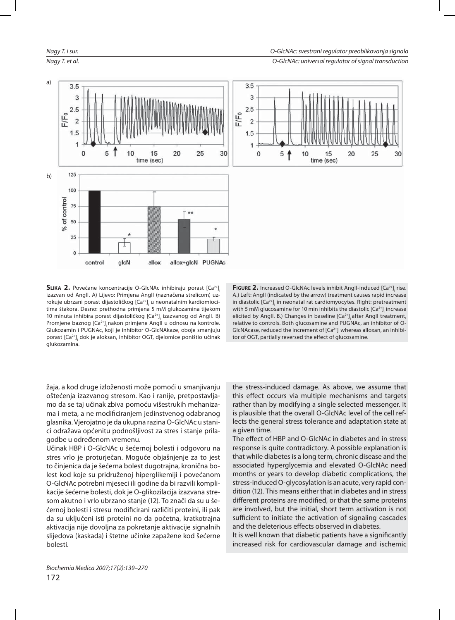

Nagy T. et al. **Nagy T. et al.** O-GlcNAc: universal requlator of signal transduction



SLIKA 2. Povećane koncentracije O-GlcNAc inhibiraju porast [Ca<sup>2+]</sup><sub>i</sub> izazvan od AngII. A) Lijevo: Primjena AngII (naznačena strelicom) uzrokuje ubrzani porast dijastoličkog [Ca<sup>2+</sup>]<sub>i</sub> u neonatalnim kardiomiocitima štakora. Desno: prethodna primjena 5 mM glukozamina tijekom 10 minuta inhibira porast dijastoličkog [Ca<sup>2+</sup>]<sub>i</sub> izazvanog od AngIl. B) Promjene baznog [Ca<sup>2+</sup>]<sub>i</sub>nakon primjene AngII u odnosu na kontrole. Glukozamin i PUGNAc, koji je inhibitor O-GlcNA kaze, oboje smanjuju porast [Ca<sup>2+</sup>]<sub>;</sub> dok je aloksan, inhibitor OGT, djelomice poništio učinak glukozamina.

**FIGURE 2.** Increased O-GIcNAc levels inhibit Angll-induced [Ca<sup>2+</sup>]<sub>i</sub> rise. A.) Left: AngII (indicated by the arrow) treatment causes rapid increase in diastolic [Ca<sup>2+</sup>]<sub>;</sub> in neonatal rat cardiomyocytes. Right: pretreatment with 5 mM glucosamine for 10 min inhibits the diastolic [Ca $^{2+}$ ] $_{\rm i}$  increase elicited by AngIl. B.) Changes in baseline [Ca<sup>2+</sup>]<sub>i</sub> after AngIl treatment, relative to controls. Both glucosamine and PUGNAc, an inhibitor of O-GlcNA $\sf{case}$ , reduced the increment of [Ca $^{2+}$ ], whereas alloxan, an inhibitor of OGT, partially reversed the effect of glucosamine.

žaja, a kod druge izloženosti može pomoći u smanjivanju oštećenja izazvanog stresom. Kao i ranije, pretpostavljamo da se taj učinak zbiva pomoću višestrukih mehanizama i meta, a ne modificiranjem jedinstvenog odabranog glasnika. Vjerojatno je da ukupna razina O-GlcNAc u stanici odražava općenitu podnošljivost za stres i stanje prilagodbe u određenom vremenu.

Učinak HBP i O-GlcNAc u šećernoj bolesti i odgovoru na stres vrlo je proturječan. Moguće objašnjenje za to jest to činjenica da je šećerna bolest dugotrajna, kronična bolest kod koje su pridruženoj hiperglikemiji i povećanom O-GlcNAc potrebni mjeseci ili godine da bi razvili komplikacije šećerne bolesti, dok je O-glikozilacija izazvana stresom akutno i vrlo ubrzano stanje (12). To znači da su u šećernoj bolesti i stresu modificirani različiti proteini, ili pak da su uključeni isti proteini no da početna, kratkotrajna aktivacija nije dovoljna za pokretanje aktivacije signalnih slijedova (kaskada) i štetne učinke zapažene kod šećerne bolesti.

the stress-induced damage. As above, we assume that this effect occurs via multiple mechanisms and targets rather than by modifying a single selected messenger. It is plausible that the overall O-GlcNAc level of the cell reflects the general stress tolerance and adaptation state at a given time.

The effect of HBP and O-GlcNAc in diabetes and in stress response is quite contradictory. A possible explanation is that while diabetes is a long term, chronic disease and the associated hyperglycemia and elevated O-GlcNAc need months or years to develop diabetic complications, the stress-induced O-glycosylation is an acute, very rapid condition (12). This means either that in diabetes and in stress different proteins are modified, or that the same proteins are involved, but the initial, short term activation is not sufficient to initiate the activation of signaling cascades and the deleterious effects observed in diabetes.

It is well known that diabetic patients have a significantly increased risk for cardiovascular damage and ischemic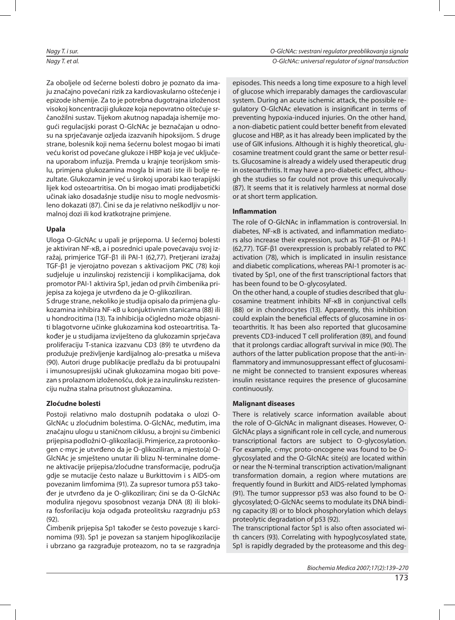Nagy T. i sur. O-GlcNAc: svestrani regulator preoblikovanja signala Nagy T. et al. **Nagy T. et al.** O-GlcNAc: universal requlator of signal transduction

Za oboljele od šećerne bolesti dobro je poznato da imaju značajno povećani rizik za kardiovaskularno oštećenje i epizode ishemije. Za to je potrebna dugotrajna izloženost visokoj koncentraciji glukoze koja nepovratno oštećuje srčanožilni sustav. Tijekom akutnog napadaja ishemije mogući regulacijski porast O-GlcNAc je beznačajan u odnosu na spriečavanje ozljeda izazvanih hipoksijom. S druge strane, bolesnik koji nema šećernu bolest mogao bi imati veću korist od povećane glukoze i HBP koja je već uključena uporabom infuzija. Premda u krajnje teorijskom smislu, primjena glukozamina mogla bi imati iste ili bolje rezultate. Glukozamin je već u širokoj uporabi kao terapijski lijek kod osteoartritisa. On bi mogao imati prodijabetički učinak iako dosadašnje studije nisu to mogle nedvosmisleno dokazati (87). Čini se da je relativno neškodljiv u normalnoj dozi ili kod kratkotrajne primjene.

## **Upa la**

Uloga O-GlcNAc u upali je prijeporna. U šećernoj bolesti je aktiviran NF-κB, a i posrednici upale povećavaju svoj izražaj, primjerice TGF-β1 ili PAI-1 (62,77). Pretjerani izražaj TGF-β1 je vjerojatno povezan s aktivacijom PKC (78) koji sudjeluje u inzulinskoj rezistenciji i komplikacijama, dok promotor PAI-1 aktivira Sp1, jedan od prvih čimbenika prijepisa za kojega je utvrđeno da je O-glikoziliran.

S druge strane, nekoliko je studija opisalo da primjena glukozamina inhibira NF-κB u konjuktivnim stanicama (88) ili u hondrocitima (13). Ta inhibicija očigledno može objasniti blagotvorne učinke glukozamina kod osteoartritisa. Također je u studijama izviješteno da glukozamin sprječava proliferaciju T-stanica izazvanu CD3 (89) te utvrđeno da produžuje preživljenje kardijalnog alo-presatka u miševa (90). Autori druge publikacije predlažu da bi protuupalni i imunosupresijski učinak glukozamina mogao biti povezan s prolaznom izloženošću, dok je za inzulinsku rezistenciju nužna stalna prisutnost glukozamina.

## **Zlo ćud ne bo les ti**

Postoji relativno malo dostupnih podataka o ulozi O-GlcNAc u zloćudnim bolestima. O-GlcNAc, međutim, ima značajnu ulogu u staničnom ciklusu, a brojni su čimbenici prijepisa podložni O-glikozilaciji. Primjerice, za protoonkogen c-myc je utvrđeno da je O-glikoziliran, a mjesto(a) O-GlcNAc je smješteno unutar ili blizu N-terminalne domene aktivacije prijepisa/zloćudne transformacije, područja gdje se mutacije često nalaze u Burkittovim i s AIDS-om povezanim limfomima (91). Za supresor tumora p53 također je utvrđeno da je O-glikoziliran; čini se da O-GlcNAc modulira njegovu sposobnost vezanja DNA (8) ili blokira fosforilaciju koja odgađa proteolitsku razgradnju p53 (92).

Čimbenik prijepisa Sp1 također se često povezuje s karcinomima (93). Sp1 je povezan sa stanjem hipoglikozilacije i ubrzano ga razgrađuje proteazom, no ta se razgradnja episodes. This needs a long time exposure to a high level of glucose which irreparably damages the cardiovascular system. During an acute ischemic attack, the possible regulatory O-GlcNAc elevation is insignificant in terms of preventing hypoxia-induced injuries. On the other hand, a non-diabetic patient could better benefit from elevated glucose and HBP, as it has already been implicated by the use of GIK infusions. Although it is highly theoretical, glucosamine treatment could grant the same or better results. Glucosamine is already a widely used therapeutic drug in osteoarthritis. It may have a pro-diabetic effect, although the studies so far could not prove this unequivocally (87). It seems that it is relatively harmless at normal dose or at short term application.

## **Inflammation**

The role of O-GIcNAc in inflammation is controversial. In diabetes, NF-κB is activated, and inflammation mediators also increase their expression, such as TGF-β1 or PAI-1 (62,77). TGF-β1 overexpression is probably related to PKC activation (78), which is implicated in insulin resistance and diabetic complications, whereas PAI-1 promoter is activated by Sp1, one of the first transcriptional factors that has been found to be O-glycosylated.

On the other hand, a couple of studies described that glucosamine treatment inhibits NF-κB in conjunctival cells (88) or in chondrocytes (13). Apparently, this inhibition could explain the beneficial effects of glucosamine in osteoarthritis. It has been also reported that glucosamine prevents CD3-induced T cell proliferation (89), and found that it prolongs cardiac allograft survival in mice (90). The authors of the latter publication propose that the anti-inflammatory and immunosuppressant effect of glucosamine might be connected to transient exposures whereas insulin resistance requires the presence of glucosamine continuously.

## **Ma lig na nt di sea ses**

There is relatively scarce information available about the role of O-GlcNAc in malignant diseases. However, O-GICNAC plays a significant role in cell cycle, and numerous transcriptional factors are subject to O-glycosylation. For example, c-myc proto-oncogene was found to be Oglycosylated and the O-GlcNAc site(s) are located within or near the N-terminal transcription activation/malignant transformation domain, a region where mutations are frequently found in Burkitt and AIDS-related lymphomas  $(91)$ . The tumor suppressor p53 was also found to be Oglycosylated; O-GlcNAc seems to modulate its DNA binding capacity (8) or to block phosphorylation which delays proteolytic degradation of p53 (92).

The transcriptional factor Sp1 is also often associated with cancers (93). Correlating with hypoglycosylated state, Sp1 is rapidly degraded by the proteasome and this deg-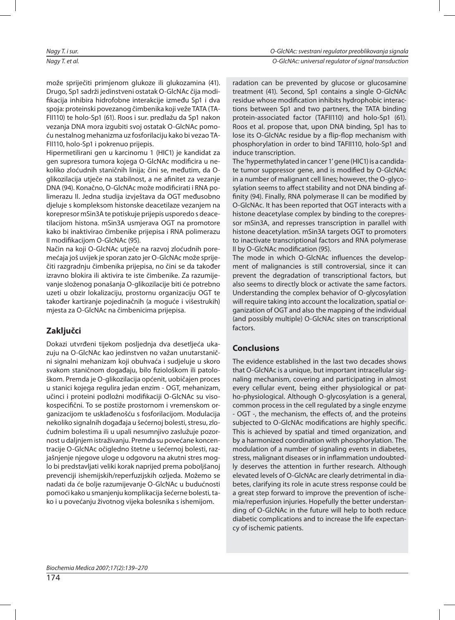može spriječiti primjenom glukoze ili glukozamina (41). Drugo, Sp1 sadrži jedinstveni ostatak O-GlcNAc čija modifikacija inhibira hidrofobne interakcije između Sp1 i dva spoja: proteinski povezanog čimbenika koji veže TATA (TA-FII110) te holo-Sp1 (61). Roos i sur. predlažu da Sp1 nakon vezanja DNA mora izgubiti svoj ostatak O-GlcNAc pomoću nes tal nog me ha niz ma uz fos fo ri la ci ju ka ko bi ve zao TA-FII110, holo-Sp1 i pokrenuo prijepis.

Hipermetilirani gen u karcinomu 1 (HIC1) je kandidat za gen supresora tumora kojega O-GlcNAc modificira u nekoliko zloćudnih staničnih linija; čini se, međutim, da Oglikozilacija utječe na stabilnost, a ne afinitet za vezanje DNA (94). Konačno, O-GlcNAc može modificirati i RNA polimerazu II. Jedna studija izvještava da OGT međusobno djeluje s kompleksom histonske deacetilaze vezanjem na korepresor mSin3A te potiskuje prijepis usporedo s deacetilacijom histona. mSin3A usmjerava OGT na promotore kako bi inaktivirao čimbenike prijepisa i RNA polimerazu II modifikacijom O-GlcNAc (95).

Način na koji O-GlcNAc utječe na razvoj zloćudnih poremećaja još uvijek je sporan zato jer O-GlcNAc može spriječiti razgradnju čimbenika prijepisa, no čini se da također izravno blokira ili aktivira te iste čimbenike. Za razumijevanje složenog ponašanja O-glikozilacije biti će potrebno uzeti u obzir lokalizaciju, prostornu organizaciju OGT te također kartiranje pojedinačnih (a moguće i višestrukih) mjesta za O-GlcNAc na čimbenicima prijepisa.

## **Zak ljuč ci**

Dokazi utvrđeni tijekom posljednja dva desetljeća ukazuju na O-GlcNAc kao jedinstven no važan unutarstanični signalni mehanizam koji obuhvaća i sudjeluje u skoro svakom staničnom događaju, bilo fiziološkom ili patološkom. Premda je O-glikozilacija općenit, uobičajen proces u stanici kojega regulira jedan enzim - OGT, mehanizam, učinci i proteini podložni modifikaciji O-GlcNAc su visokospecifični. To se postiže prostornom i vremenskom organizacijom te usklađenošću s fosforilacijom. Modulacija ne koliko signalnih događaja u šećernoj bolesti, stresu, zloćudnim bolestima ili u upali nesumnjivo zaslužuje pozornost u daljnjem istraživanju. Premda su povećane koncentracije O-GlcNAc očigledno štetne u šećernoj bolesti, razjašnjenje njegove uloge u odgovoru na akutni stres moglo bi predstavljati veliki korak naprijed prema poboljšanoj prevenciji ishemijskih/reperfuzijskih ozljeda. Možemo se na da ti da će bolje razu mijevanje O-GlcNAc u budućnosti pomoći kako u smanjenju komplikacija šećerne bolesti, tako i u povećanju životnog vijeka bolesnika s ishemijom.

radation can be prevented by glucose or glucosamine treatment (41). Second, Sp1 contains a single O-GlcNAc residue whose modification inhibits hydrophobic interactions between Sp1 and two partners, the TATA binding protein-associated factor (TAFII110) and holo-Sp1 (61). Roos et al. propose that, upon DNA binding, Sp1 has to lose its O-GlcNAc residue by a flip-flop mechanism with phosphorylation in order to bind TAFII110, holo-Sp1 and induce transcription.

The 'hypermethylated in cancer 1' gene (HIC1) is a candidate tumor suppressor gene, and is modified by O-GlcNAc in a number of malignant cell lines; however, the O-glycosylation seems to affect stability and not DNA binding affinity (94). Finally, RNA polymerase II can be modified by O-GlcNAc. It has been reported that OGT interacts with a histone deacetylase complex by binding to the corepressor mSin3A, and represses transcription in parallel with histone deacetylation. mSin3A targets OGT to promoters to inactivate transcriptional factors and RNA polymerase II by O-GlcNAc modification (95).

The mode in which O-GlcNAc influences the development of malignancies is still controversial, since it can prevent the degradation of transcriptional factors, but also seems to directly block or activate the same factors. Understanding the complex behavior of O-glycosylation will require taking into account the localization, spatial organization of OGT and also the mapping of the individual (and possibly multiple) O-GlcNAc sites on transcriptional factors.

## **Con clu sio ns**

The evidence established in the last two decades shows that O-GIcNAc is a unique, but important intracellular signaling mechanism, covering and participating in almost every cellular event, being either physiological or patho-physiological. Although O-glycosylation is a general, common process in the cell regulated by a single enzyme - OGT -, the mechanism, the effects of, and the proteins subjected to O-GlcNAc modifications are highly specific. This is achieved by spatial and timed organization, and by a harmonized coordination with phosphorylation. The modulation of a number of signaling events in diabetes, stress, malignant diseases or in inflammation undoubtedly deserves the attention in further research. Although elevated levels of O-GlcNAc are clearly detrimental in diabetes, clarifying its role in acute stress response could be a great step forward to improve the prevention of ischemia/reperfusion injuries. Hopefully the better understanding of O-GlcNAc in the future will help to both reduce diabetic complications and to increase the life expectancy of ischemic patients.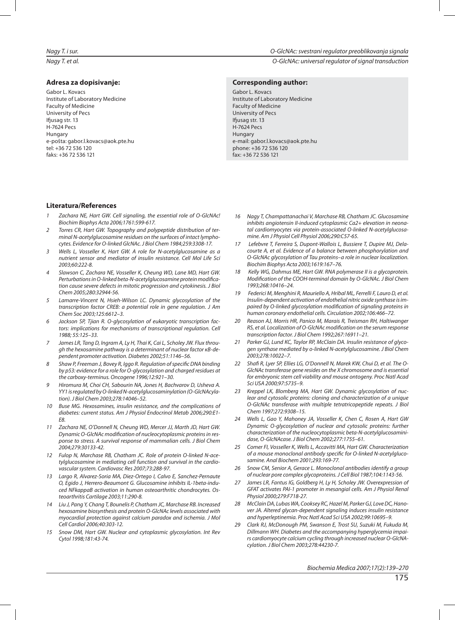## **Ad re sa za do pi si va nje:**

Gabor L. Kovacs Institute of Laboratory Medicine Faculty of Medicine University of Pecs Ifjusag str. 13 **H-7624 Pecs** Hungary e-poš ta: ga bor.l.kovacs@aok.pte.hu tel: +36 72 536 120 fa ks: +36 72 536 121

#### Nagy T. i sur. O-GlcNAc: svestrani regulator preoblikovanja signala

Nagy T. et al. **Nagy T. et al.** O-GlcNAc: universal requlator of signal transduction

#### **Corresponding author:**

Gabor L. Kovacs Institute of Laboratory Medicine Faculty of Medicine University of Pecs Ifjusag str. 13 **H-7624 Pecs** Hungary e-mail: gabor.l.kovacs@aok.pte.hu pho ne: +36 72 536 120 fax: +36 72 536 121

### **Li te ra tu ra/References**

- Zachara NE, Hart GW. Cell signaling, the essential role of O-GlcNAc! Biochim Biophys Acta 2006;1761:599-617.
- Torres CR, Hart GW. Topography and polypeptide distribution of terminal N-acetylglu cosamine residues on the surfaces of intact lymphocytes. Evidence for O-linked GlcNAc. J Biol Chem 1984;259:3308-17.
- 3 Wells L, Vosseller K, Hart GW. A role for N-acetylalucosamine as a nutrient sensor and mediator of insulin resistance. Cell Mol Life Sci 2003;60:222-8.
- Slawson C, Zachara NE, Vosseller K, Cheung WD, Lane MD, Hart GW. Perturbations in O-linked beta-N-acetylglucosamine protein modification cause severe defects in mitotic progression and cytokinesis. J Biol Chem 2005;280:32944-56.
- Lamarre-Vincent N, Hsieh-Wilson LC. Dynamic glycosylation of the transcription factor CREB: a potential role in gene regulation. J Am Chem Soc 2003;125:6612–3.
- 6 Jackson SP, Tjian R. O-glycosylation of eukaryotic transcription factors: implications for mechanisms of transcriptional regulation. Cell 1988; 55:125–33.
- 7 James LR, Tang D, Ingram A, Ly H, Thai K, Cai L, Scholey JW. Flux through the hexosamine pathway is a determinant of nuclear factor κB-dependent promoter activation. Diabetes 2002:51:1146-56.
- 8 Shaw P, Freeman J, Bovey R, Iggo R. Regulation of specific DNA binding by p53: evidence for a role for O-glycosylation and charged residues at the carboxy-terminus. Oncogene 1996;12:921-30.
- 9 Hiromura M, Choi CH, Sabourin NA, Jones H, Bachvarov D, Usheva A. YY1 is requlated by O-linked N-acetylglu cosaminylation (O-GlcNA cylation). J Biol Chem 2003;278:14046–52.
- 10 Buse MG. Hexosamines, insulin resistance, and the complications of diabetes: current status. Am J Physiol Endocrinol Metab 2006;290:E1-E8.
- 11 Zachara NE, O'Donnell N, Cheung WD, Mercer JJ, Marth JD, Hart GW. Dynamic O-GlcNAc modification of nucleocytoplasmic proteins in response to stress. A survival response of mammalian cells. J Biol Chem 2004;279:30133-42.
- 12 Fulop N, Marchase RB, Chatham JC. Role of protein O-linked N-acetylglucosamine in mediating cell function and survival in the cardiovascular system. Cardiovasc Res 2007;73:288-97.
- Largo R, Alvarez-Soria MA, Diez-Ortego I, Calvo E, Sanchez-Pernaute O, Egido J, Herrero-Beaumont G. Glucosamine inhibits IL-1beta-induced NFkappaB activation in human osteoarthritic chondrocytes. Osteoarthritis Cartilage 2003;11:290-8.
- 14 Liu J, Pang Y, Chang T, Bounelis P, Chatham JC, Marchase RB. Increased hexosamine biosynthesis and protein O-GlcNAc levels associated with myocardial protection against calcium paradox and ischemia. J Mol Cell Cardiol 2006;40:303-12.
- 15 Snow DM, Hart GW. Nuclear and cytoplasmic glycosylation. Int Rev Cytol 1998;181:43-74.
- 16 Nagy T, Champattanachai V, Marchase RB, Chatham JC. Glucosamine inhibits angiotensin II-induced cytoplasmic Ca2+ elevation in neonatal cardiomyocytes via protein-associated O-linked N-acetylglucosamine. Am J Physiol Cell Physiol 2006;290:C57-65.
- 17 Lefebvre T, Ferreira S, Dupont-Wallois L, Bussiere T, Dupire MJ, Delacourte A, et al. Evidence of a balance between phosphorylation and O-GlcNAc glycosylation of Tau proteins–a role in nuclear localization. Biochim Biophys Acta 2003;1619:167-76.
- 18 Kelly WG, Dahmus ME, Hart GW. RNA polymerase II is a glycoprotein. Modification of the COOH-terminal domain by O-GlcNAc. J Biol Chem 1993;268:10416–24.
- 19 Federici M, Menghini R, Mauriello A, Hribal ML, Ferrelli F, Lauro D, et al. Insulin-dependent activation of endothelial nitric oxide synthase is impaired by O-linked glycosylation modification of signaling proteins in human coronary endothelial cells. Circulation 2002;106:466-72.
- 20 Reason AJ, Morris HR, Panico M, Marais R, Treisman RH, Haltiwanger RS, et al. Localization of O-GlcNAc modification on the serum response transcription factor. J Biol Chem 1992;267:16911-21.
- 21 Parker GJ, Lund KC, Taylor RP, McClain DA. Insulin resistance of glycogen synthase mediated by o-linked N-acetylglucosamine. J Biol Chem 2003;278:10022–7.
- 22 Shafi R, Lyer SP, Ellies LG, O'Donnell N, Marek KW, Chui D, et al. The O-GIcNAc transferase gene resides on the X chromosome and is essential for embryonic stem cell viability and mouse ontogeny. Proc Natl Acad Sci USA 2000;97:5735–9.
- 23 Kreppel LK, Blomberg MA, Hart GW. Dynamic glycosylation of nuclear and cytosolic proteins: cloning and characterization of a unique O-GIcNAc transferase with multiple tetratricopeptide repeats. J Biol Chem 1997;272:9308–15.
- Wells L, Gao Y, Mahoney JA, Vosseller K, Chen C, Rosen A, Hart GW Dynamic O-glycosylation of nuclear and cytosolic proteins: further characterization of the nucleocytoplasmic beta-N-acetylglucosaminida se, O-GlcNA ca se. J Biol Chem 2002;277:1755–61.
- 25 Comer FI, Vosseller K, Wells L, Accavitti MA, Hart GW. Characterization of a mouse monoclonal antibody specific for O-linked N-acetylglucosamine. Anal Biochem 2001;293:169-77.
- 26 Snow CM, Senior A, Gerace L. Monoclonal antibodies identify a group of nuclear pore complex glycoproteins. J Cell Biol 1987;104:1143-56.
- 27 James LR, Fantus IG, Goldberg H, Ly H, Scholey JW. Overexpression of GFAT activates PAI-1 promoter in mesangial cells. Am J Physiol Renal Physiol 2000;279:F718-27.
- 28 McClain DA, Lubas WA, Cooksey RC, Hazel M, Parker GJ, Love DC, Hanover JA. Altered glycan-dependent signaling induces insulin resistance and hyperleptinemia. Proc Natl Acad Sci USA 2002;99:10695-9.
- 29 Clark RJ, McDonough PM, Swanson E, Trost SU, Suzuki M, Fukuda M, Dillmann WH. Diabetes and the accompanying hyperglycemia impairs cardiomyocyte calcium cycling through increased nuclear O-GlcNAcyla tion. J Biol Chem 2003;278:44230-7.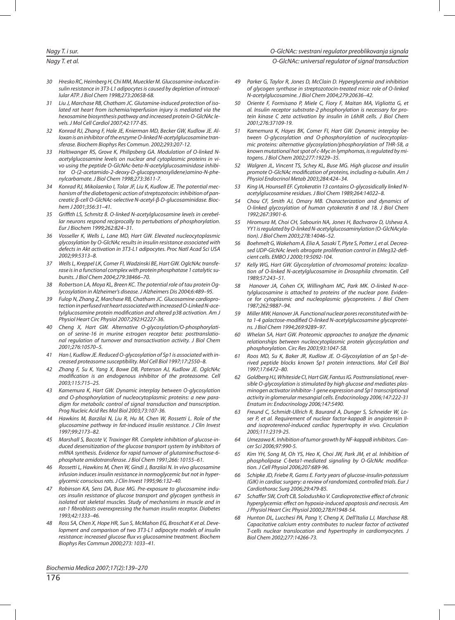Nagy T. et al. **Contract to the contract of signal transduction** of signal transduction

- 30 Hresko RC, Heimberg H, Chi MM, Mueckler M. Glucosamine-induced insulin resistance in 3T3-L1 adipocytes is caused by depletion of intracellular ATP. J Biol Chem 1998;273:20658-68.
- 31 Liu J, Marchase RB, Chatham JC. Glutamine-induced protection of isolated rat heart from ischemia/reperfusion injury is mediated via the hexosamine biosynthesis pathway and increased protein O-GlcNAc levels. J Mol Cell Cardiol 2007;42:177-85.
- 32 Konrad RJ, Zhang F, Hale JE, Knierman MD, Becker GW, Kudlow JE. Alloxan is an inhibitor of the enzyme O-linked N-acetylglucosamine transferase. Biochem Biophys Res Commun. 2002;293:207-12.
- 33 Haltiwanger RS, Grove K, Philipsberg GA. Modulation of O-linked Nacetylglucosamine levels on nuclear and cytoplasmic proteins in vivo using the peptide O-GlcNAc-beta-N-acetylglucosaminidase inhibitor O-(2-acetamido-2-deoxy-D-glucopyranosylidene)amino-N-phenylcarbamate. J Biol Chem 1998;273:3611-7.
- Konrad RJ, Mikolaenko I, Tolar JF, Liu K, Kudlow JE. The potential mechanism of the diabetogenic action of streptozotocin: inhibition of pancreatic β-cell O-GlcNAc-selective N-acetyl-β-D-glucosaminidase. Biochem J 2001;356:31–41.
- Griffith LS, Schmitz B. O-linked N-acetylglucosamine levels in cerebellar neurons respond reciprocally to pertubations of phosphorylation. Eur J Biochem 1999;262:824-31.
- 36 Vosseller K, Wells L, Lane MD, Hart GW. Elevated nucleocytoplasmic glycosylation by O-GlcNAc results in insulin resistance associated with defects in Akt activation in 3T3-L1 adipocytes. Proc Natl Acad Sci USA 2002;99:5313–8.
- Wells L, Kreppel LK, Comer FI, Wadzinski BE, Hart GW. OglcNAc transferase is in a functional complex with protein phosphatase 1 catalytic subu ni ts. J Biol Chem 2004;279:38466–70.
- 38 Robertson LA, Moya KL, Breen KC. The potential role of tau protein Oglycosylation in Alzheimer's disease. J Alzheimers Dis 2004;6:489-95.
- 39 Fulop N, Zhang Z, Marchase RB, Chatham JC. Glucosamine cardioprotection in perfused rat heart associated with increased O-Linked N-acetylglu cosamine protein modification and altered p38 activation. Am J Physiol Heart Circ Physiol 2007;292:H2227-36.
- Cheng X, Hart GW. Alternative O-glycosylation/O-phosphorylation of serine-16 in murine estrogen receptor beta: posttranslational regulation of turnover and transactivation activity. J Biol Chem 2001;276:10570–5.
- Han I, Kudlow JE. Reduced O-glycosylation of Sp1 is associated with increased proteasome susceptibility. Mol Cell Biol 1997;17:2550-8.
- 42 Zhang F, Su K, Yang X, Bowe DB, Paterson AJ, Kudlow JE. OglcNAc modification is an endogenous inhibitor of the proteasome. Cell 2003;115:715–25.
- Kamemura K, Hart GW. Dynamic interplay between O-glycosylation and O-phosphorylation of nucleocytoplasmic proteins: a new paradigm for metabolic control of signal transduction and transcription. Prog Nucleic Acid Res Mol Biol 2003;73:107-36.
- Hawkins M, Barzilai N, Liu R, Hu M, Chen W, Rossetti L. Role of the glu cosamine pathway in fat-induced insulin resistance. J Clin Invest 1997;99:2173–82.
- Marshall S, Bacote V, Traxinger RR. Complete inhibition of glucose-induced desensitization of the glucose transport system by inhibitors of mRNA synthesis. Evidence for rapid turnover of glutamine:fructose-6phosphate amidotransferase. J Biol Chem 1991;266: 10155-61.
- Rossetti L, Hawkins M, Chen W, Gindi J, Barzilai N. In vivo glucosamine infusion induces insulin resistance in normoglycemic but not in hyperglycemic conscious rats. J Clin Invest 1995;96:132-40.
- 47 Robinson KA, Sens DA, Buse MG. Pre-exposure to glucosamine induces insulin resistance of glucose transport and glycogen synthesis in isolated rat skeletal muscles. Study of mechanisms in muscle and in rat-1 fibroblasts overexpressing the human insulin receptor. Diabetes 1993;42:1333–46.
- Ross SA, Chen X, Hope HR, Sun S, McMahon EG, Broschat K et al. Development and comparison of two 3T3-L1 adipocyte models of insulin resistance: increased glucose flux vs glucosamine treatment. Biochem Biop hys Res Com mun 2000;273: 1033–41.
- 49 Parker G, Taylor R, Jones D, McClain D. Hyperglycemia and inhibition of glycogen synthase in streptozotocin-treated mice: role of O-linked N-acetylglucosamine. J Biol Chem 2004;279:20636-42.
- 50 Oriente F, Formisano P, Miele C, Fiory F, Maitan MA, Vigliotta G, et al. Insulin receptor substrate-2 phosphorylation is necessary for protein kinase C zeta activation by insulin in L6hIR cells. J Biol Chem 2001;276:37109-19.
- 51 Kamemura K, Hayes BK, Comer FI, Hart GW. Dynamic interplay between O-glycosylation and O-phosphorylation of nucleocytoplasmic proteins: alternative glycosylation/phosphorylation of THR-58, a known mutational hot spot of c-Myc in lymphomas, is regulated by mitogens. J Biol Chem 2002;277:19229-35.
- 52 Walgren JL, Vincent TS, Schey KL, Buse MG. High glucose and insulin promote O-GlcNAc modification of proteins, including α-tubulin. Am J Physiol Endocrinol Metab 2003;284:424-34.
- King IA, Hounsell EF. Cytokeratin 13 contains O-glycosidically linked Nacetylglucosamine residues. J Biol Chem 1989;264:14022-8.
- 54 Chou CF, Smith AJ, Omary MB, Characterization and dynamics of O-linked glycosylation of human cytokeratin 8 and 18. J Biol Chem 1992;267:3901-6.
- 55 Hiromura M, Choi CH, Sabourin NA, Jones H, Bachvarov D, Usheva A. YY1 is regulated by O-linked N-acetylglucosaminylation (O-GlcNAcylation). J Biol Chem 2003;278:14046–52.
- 56 Boehmelt G, Wakeham A, Elia A, Sasaki T, Plyte S, Potter J, et al. Decreased UDP-GIcNAc levels abrogate proliferation control in EMeg32-deficient cells. EMBO J 2000;19:5092-104.
- Kelly WG, Hart GW. Glycosylation of chromosomal proteins: localization of O-linked N-acetylglucosamine in Drosophila chromatin. Cell 1989;57:243–51.
- Hanover JA, Cohen CK, Willingham MC, Park MK. O-linked N-acetylglu cosamine is attached to proteins of the nuclear pore. Evidence for cytoplasmic and nucleoplasmic glycoproteins. J Biol Chem 1987;262:9887–94.
- 59 Miller MW, Hanover JA. Functional nuclear pores reconstituted with beta 1-4 galactose-modified O-linked N-acetylglucosamine glycoproteins. J Biol Chem 1994;269:9289–97.
- 60 Whelan SA, Hart GW. Proteomic approaches to analyze the dynamic relationships between nucleocytoplasmic protein glycosylation and phosphorylation. Circ Res 2003;93:1047-58.
- 61 Roos MD, Su K, Baker JR, Kudlow JE. O-Glycosylation of an Sp1-derived peptide blocks known Sp1 protein interactions. Mol Cell Biol 1997;17:6472–80.
- 62 Goldberg HJ, Whiteside CI, Hart GW, Fantus IG. Posttranslational, reversible O-glycosylation is stimulated by high glucose and mediates plasminogen activator inhibitor-1 gene expression and Sp1 transcriptional activity in glomerular mesangial cells. Endocrinology 2006;147:222-31 Erratum in: Endocrinology 2006;147:5490.
- 63 Freund C, Schmidt-Ullrich R, Baurand A, Dunger S, Schneider W, Loser P, et al. Requirement of nuclear factor-kappaB in angiotensin IIand isoproterenol-induced cardiac hypertrophy in vivo. Circulation 2005;111:2319-25.
- 64 Umezawa K. Inhibition of tumor growth by NF-kappaB inhibitors. Cancer Sci 2006;97:990-5.
- Kim YH, Song M, Oh YS, Heo K, Choi JW, Park JM, et al. Inhibition of phospholipase C-beta1-mediated signaling by O-GlcNAc modification. J Cell Physiol 2006;207:689-96.
- 66 Schipke JD, Friebe R, Gams E. Forty years of glucose-insulin-potassium (GIK) in cardiac surgery: a review of randomized, controlled trials. Eur J Cardiothorac Surg 2006;29:479-85.
- 67 Schaffer SW, Croft CB, Solodushko V. Cardioprotective effect of chronic hyperglycemia: effect on hypoxia-induced apoptosis and necrosis. Am J Physiol Heart Circ Physiol 2000;278:H1948-54.
- Hunton DL, Lucchesi PA, Pang Y, Cheng X, Dell'Italia LJ, Marchase RB. Capacitative calcium entry contributes to nuclear factor of activated T-cells nuclear translocation and hypertrophy in cardiomyocytes. J Biol Chem 2002;277:14266-73.

Biochemia Medica 2007;17(2):139–270